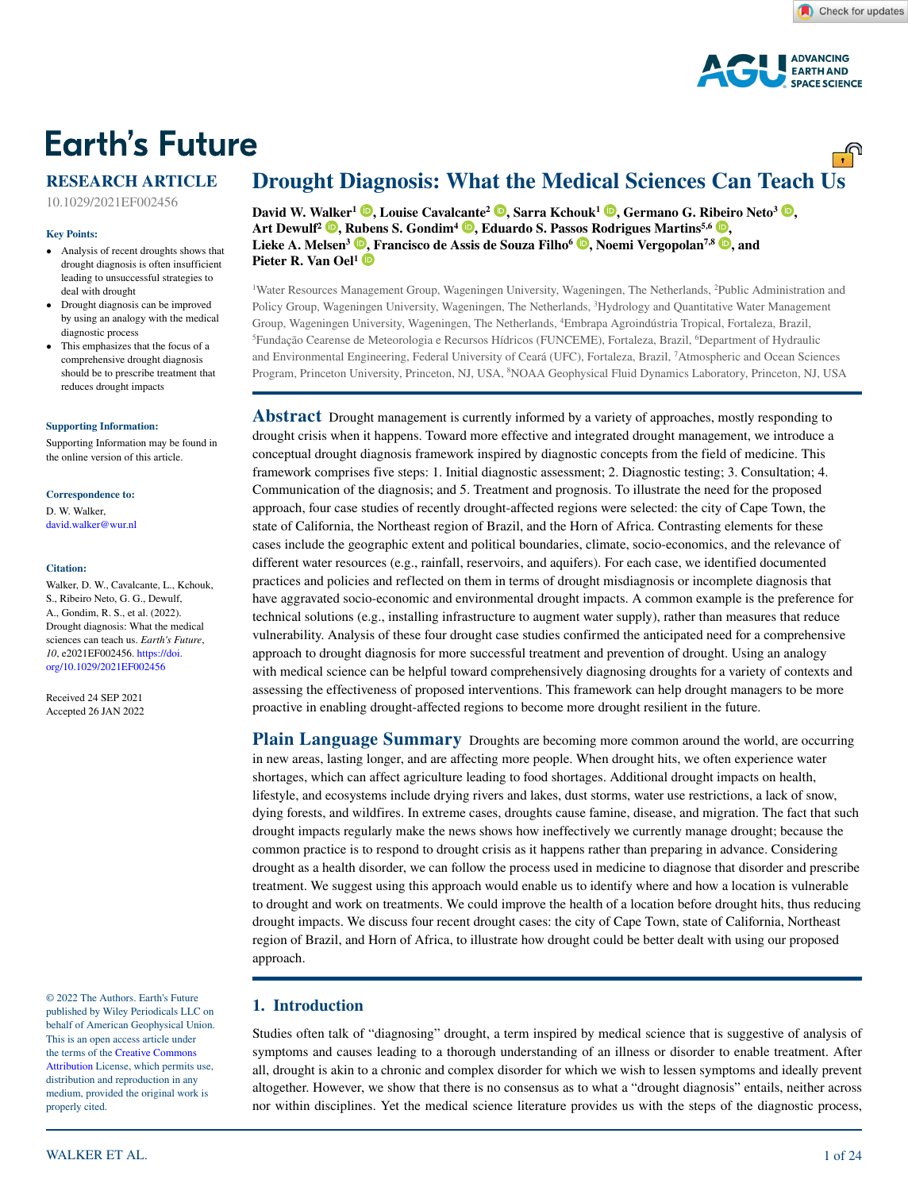<u>್.</u>



# **Earth's Future**

# **RESEARCH ARTICLE**

10.1029/2021EF002456

#### **Key Points:**

- Analysis of recent droughts shows that drought diagnosis is often insufficient leading to unsuccessful strategies to deal with drought
- Drought diagnosis can be improved by using an analogy with the medical diagnostic process
- This emphasizes that the focus of a comprehensive drought diagnosis should be to prescribe treatment that reduces drought impacts

#### **[Supporting Information:](https://doi.org/10.1029/2021EF002456)**

[Supporting Information may be found in](https://doi.org/10.1029/2021EF002456)  [the online version of this article.](https://doi.org/10.1029/2021EF002456)

#### **Correspondence to:**

D. W. Walker, david.walker@wur.nl

#### **Citation:**

Walker, D. W., Cavalcante, L., Kchouk, S., Ribeiro Neto, G. G., Dewulf, A., Gondim, R. S., et al. (2022). Drought diagnosis: What the medical sciences can teach us. *Earth's Future*, *10*, e2021EF002456. [https://doi.](https://doi.org/10.1029/2021EF002456) [org/10.1029/2021EF002456](https://doi.org/10.1029/2021EF002456)

Received 24 SEP 2021 Accepted 26 JAN 2022

© 2022 The Authors. Earth's Future published by Wiley Periodicals LLC on behalf of American Geophysical Union. This is an open access article under the terms of the [Creative Commons](http://creativecommons.org/licenses/by/4.0/)  [Attribution](http://creativecommons.org/licenses/by/4.0/) License, which permits use, distribution and reproduction in any medium, provided the original work is properly cited.

# **Drought Diagnosis: What the Medical Sciences Can Teach Us**

*David W. [Walke](https://orcid.org/0000-0002-4171-7644)r<sup>1</sup> <b>.* Louise Caval[cant](https://orcid.org/0000-0001-7887-1832)e<sup>2</sup> **.** Sarra Kchouk<sup>1</sup> **.** Germano G. Ri[beir](https://orcid.org/0000-0002-9858-2541)o Neto<sup>3</sup> **.** Art Dewulf<sup>2</sup> **D**, [Rube](https://orcid.org/0000-0003-0062-1301)ns S. Gondim<sup>4</sup> **D**, Eduardo S. Pas[sos R](https://orcid.org/0000-0001-5989-1731)odrigues Martins<sup>5,6</sup> **D**, Lieke A. Melsen<sup>3</sup> **D**[, F](https://orcid.org/0000-0001-7740-0537)rancisco de Assis de Souza Filho<sup>6</sup> **D**[,](https://orcid.org/0000-0002-7298-0509) Noemi Vergopolan<sup>7,8</sup> **D**, and **Pieter R. Van Oel<sup>1</sup>**

1 Water Resources Management Group, Wageningen University, Wageningen, The Netherlands, 2 Public Administration and Policy Group, Wageningen University, Wageningen, The Netherlands, 3 Hydrology and Quantitative Water Management Group, Wageningen University, Wageningen, The Netherlands, 4 Embrapa Agroindústria Tropical, Fortaleza, Brazil, <sup>5</sup>Fundação Cearense de Meteorologia e Recursos Hídricos (FUNCEME), Fortaleza, Brazil, <sup>6</sup>Department of Hydraulic and Environmental Engineering, Federal University of Ceará (UFC), Fortaleza, Brazil, 7 Atmospheric and Ocean Sciences Program, Princeton University, Princeton, NJ, USA, <sup>8</sup>NOAA Geophysical Fluid Dynamics Laboratory, Princeton, NJ, USA

**Abstract** Drought management is currently informed by a variety of approaches, mostly responding to drought crisis when it happens. Toward more effective and integrated drought management, we introduce a conceptual drought diagnosis framework inspired by diagnostic concepts from the field of medicine. This framework comprises five steps: 1. Initial diagnostic assessment; 2. Diagnostic testing; 3. Consultation; 4. Communication of the diagnosis; and 5. Treatment and prognosis. To illustrate the need for the proposed approach, four case studies of recently drought-affected regions were selected: the city of Cape Town, the state of California, the Northeast region of Brazil, and the Horn of Africa. Contrasting elements for these cases include the geographic extent and political boundaries, climate, socio-economics, and the relevance of different water resources (e.g., rainfall, reservoirs, and aquifers). For each case, we identified documented practices and policies and reflected on them in terms of drought misdiagnosis or incomplete diagnosis that have aggravated socio-economic and environmental drought impacts. A common example is the preference for technical solutions (e.g., installing infrastructure to augment water supply), rather than measures that reduce vulnerability. Analysis of these four drought case studies confirmed the anticipated need for a comprehensive approach to drought diagnosis for more successful treatment and prevention of drought. Using an analogy with medical science can be helpful toward comprehensively diagnosing droughts for a variety of contexts and assessing the effectiveness of proposed interventions. This framework can help drought managers to be more proactive in enabling drought-affected regions to become more drought resilient in the future.

**Plain Language Summary** Droughts are becoming more common around the world, are occurring in new areas, lasting longer, and are affecting more people. When drought hits, we often experience water shortages, which can affect agriculture leading to food shortages. Additional drought impacts on health, lifestyle, and ecosystems include drying rivers and lakes, dust storms, water use restrictions, a lack of snow, dying forests, and wildfires. In extreme cases, droughts cause famine, disease, and migration. The fact that such drought impacts regularly make the news shows how ineffectively we currently manage drought; because the common practice is to respond to drought crisis as it happens rather than preparing in advance. Considering drought as a health disorder, we can follow the process used in medicine to diagnose that disorder and prescribe treatment. We suggest using this approach would enable us to identify where and how a location is vulnerable to drought and work on treatments. We could improve the health of a location before drought hits, thus reducing drought impacts. We discuss four recent drought cases: the city of Cape Town, state of California, Northeast region of Brazil, and Horn of Africa, to illustrate how drought could be better dealt with using our proposed approach.

### **1. Introduction**

Studies often talk of "diagnosing" drought, a term inspired by medical science that is suggestive of analysis of symptoms and causes leading to a thorough understanding of an illness or disorder to enable treatment. After all, drought is akin to a chronic and complex disorder for which we wish to lessen symptoms and ideally prevent altogether. However, we show that there is no consensus as to what a "drought diagnosis" entails, neither across nor within disciplines. Yet the medical science literature provides us with the steps of the diagnostic process,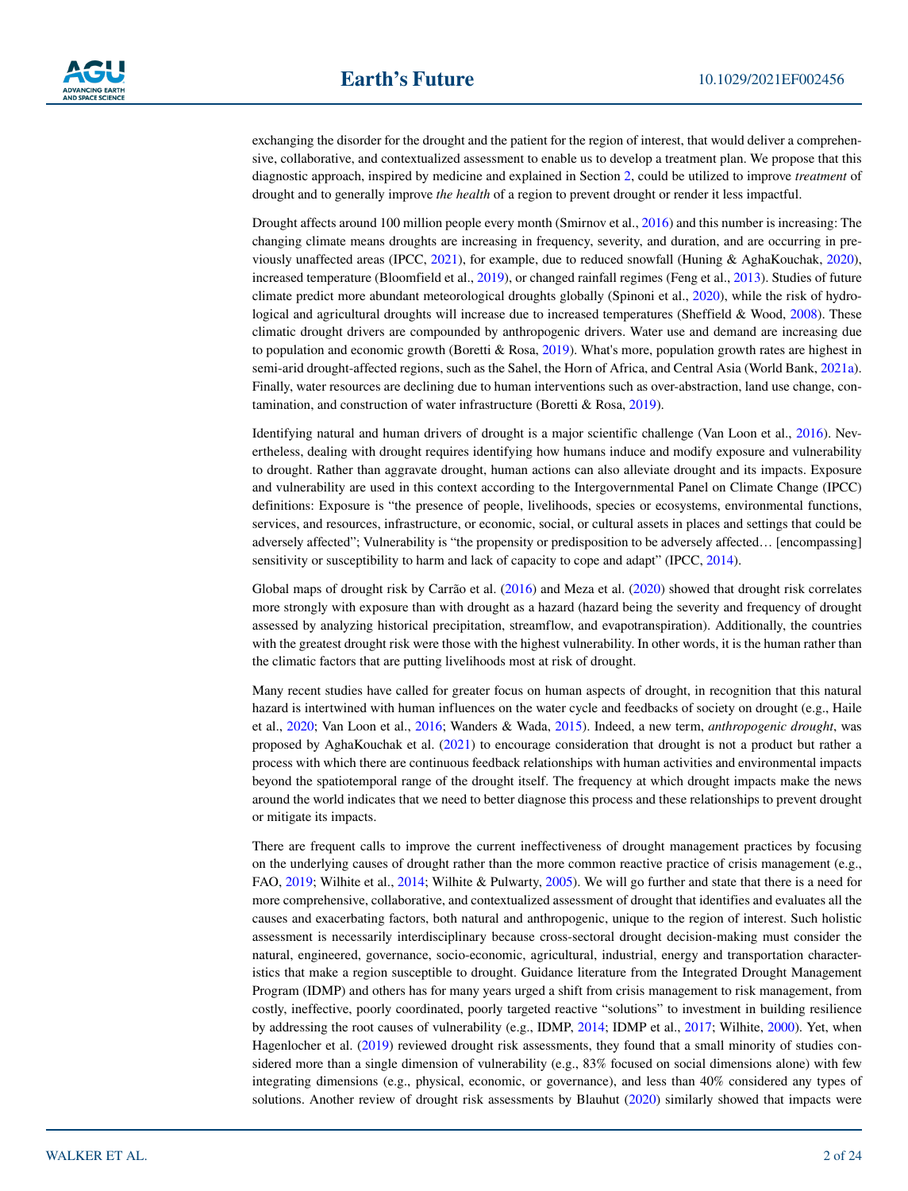exchanging the disorder for the drought and the patient for the region of interest, that would deliver a comprehensive, collaborative, and contextualized assessment to enable us to develop a treatment plan. We propose that this diagnostic approach, inspired by medicine and explained in Section [2,](#page-2-0) could be utilized to improve *treatment* of drought and to generally improve *the health* of a region to prevent drought or render it less impactful.

Drought affects around 100 million people every month (Smirnov et al., [2016\)](#page-22-0) and this number is increasing: The changing climate means droughts are increasing in frequency, severity, and duration, and are occurring in previously unaffected areas (IPCC, [2021](#page-21-0)), for example, due to reduced snowfall (Huning & AghaKouchak, [2020](#page-21-1)), increased temperature (Bloomfield et al., [2019\)](#page-19-0), or changed rainfall regimes (Feng et al., [2013\)](#page-20-0). Studies of future climate predict more abundant meteorological droughts globally (Spinoni et al., [2020](#page-22-1)), while the risk of hydro-logical and agricultural droughts will increase due to increased temperatures (Sheffield & Wood, [2008](#page-22-2)). These climatic drought drivers are compounded by anthropogenic drivers. Water use and demand are increasing due to population and economic growth (Boretti & Rosa, [2019\)](#page-19-1). What's more, population growth rates are highest in semi-arid drought-affected regions, such as the Sahel, the Horn of Africa, and Central Asia (World Bank, [2021a](#page-23-0)). Finally, water resources are declining due to human interventions such as over-abstraction, land use change, contamination, and construction of water infrastructure (Boretti & Rosa, [2019](#page-19-1)).

Identifying natural and human drivers of drought is a major scientific challenge (Van Loon et al., [2016\)](#page-23-1). Nevertheless, dealing with drought requires identifying how humans induce and modify exposure and vulnerability to drought. Rather than aggravate drought, human actions can also alleviate drought and its impacts. Exposure and vulnerability are used in this context according to the Intergovernmental Panel on Climate Change (IPCC) definitions: Exposure is "the presence of people, livelihoods, species or ecosystems, environmental functions, services, and resources, infrastructure, or economic, social, or cultural assets in places and settings that could be adversely affected"; Vulnerability is "the propensity or predisposition to be adversely affected… [encompassing] sensitivity or susceptibility to harm and lack of capacity to cope and adapt" (IPCC, [2014\)](#page-21-2).

Global maps of drought risk by Carrão et al. [\(2016](#page-20-1)) and Meza et al. [\(2020](#page-21-3)) showed that drought risk correlates more strongly with exposure than with drought as a hazard (hazard being the severity and frequency of drought assessed by analyzing historical precipitation, streamflow, and evapotranspiration). Additionally, the countries with the greatest drought risk were those with the highest vulnerability. In other words, it is the human rather than the climatic factors that are putting livelihoods most at risk of drought.

Many recent studies have called for greater focus on human aspects of drought, in recognition that this natural hazard is intertwined with human influences on the water cycle and feedbacks of society on drought (e.g., Haile et al., [2020;](#page-21-4) Van Loon et al., [2016;](#page-23-1) Wanders & Wada, [2015](#page-23-2)). Indeed, a new term, *anthropogenic drought*, was proposed by AghaKouchak et al. ([2021\)](#page-19-2) to encourage consideration that drought is not a product but rather a process with which there are continuous feedback relationships with human activities and environmental impacts beyond the spatiotemporal range of the drought itself. The frequency at which drought impacts make the news around the world indicates that we need to better diagnose this process and these relationships to prevent drought or mitigate its impacts.

There are frequent calls to improve the current ineffectiveness of drought management practices by focusing on the underlying causes of drought rather than the more common reactive practice of crisis management (e.g., FAO, [2019](#page-20-2); Wilhite et al., [2014](#page-23-3); Wilhite & Pulwarty, [2005](#page-23-4)). We will go further and state that there is a need for more comprehensive, collaborative, and contextualized assessment of drought that identifies and evaluates all the causes and exacerbating factors, both natural and anthropogenic, unique to the region of interest. Such holistic assessment is necessarily interdisciplinary because cross-sectoral drought decision-making must consider the natural, engineered, governance, socio-economic, agricultural, industrial, energy and transportation characteristics that make a region susceptible to drought. Guidance literature from the Integrated Drought Management Program (IDMP) and others has for many years urged a shift from crisis management to risk management, from costly, ineffective, poorly coordinated, poorly targeted reactive "solutions" to investment in building resilience by addressing the root causes of vulnerability (e.g., IDMP, [2014](#page-21-5); IDMP et al., [2017](#page-21-6); Wilhite, [2000](#page-23-5)). Yet, when Hagenlocher et al. [\(2019](#page-20-3)) reviewed drought risk assessments, they found that a small minority of studies considered more than a single dimension of vulnerability (e.g., 83% focused on social dimensions alone) with few integrating dimensions (e.g., physical, economic, or governance), and less than 40% considered any types of solutions. Another review of drought risk assessments by Blauhut [\(2020](#page-19-3)) similarly showed that impacts were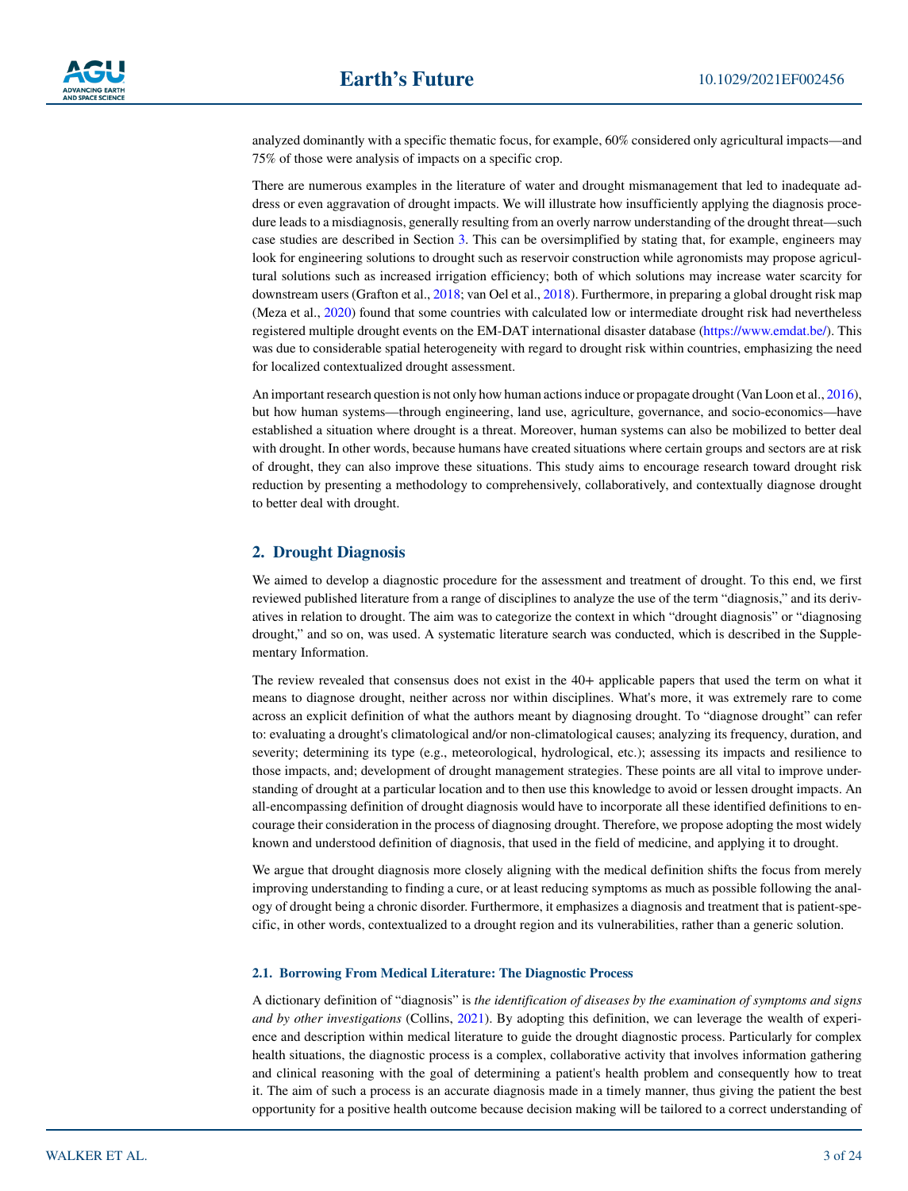analyzed dominantly with a specific thematic focus, for example, 60% considered only agricultural impacts—and 75% of those were analysis of impacts on a specific crop.

There are numerous examples in the literature of water and drought mismanagement that led to inadequate address or even aggravation of drought impacts. We will illustrate how insufficiently applying the diagnosis procedure leads to a misdiagnosis, generally resulting from an overly narrow understanding of the drought threat—such case studies are described in Section [3.](#page-6-0) This can be oversimplified by stating that, for example, engineers may look for engineering solutions to drought such as reservoir construction while agronomists may propose agricultural solutions such as increased irrigation efficiency; both of which solutions may increase water scarcity for downstream users (Grafton et al., [2018;](#page-20-4) van Oel et al., [2018\)](#page-23-6). Furthermore, in preparing a global drought risk map (Meza et al., [2020\)](#page-21-3) found that some countries with calculated low or intermediate drought risk had nevertheless registered multiple drought events on the EM-DAT international disaster database (<https://www.emdat.be/>). This was due to considerable spatial heterogeneity with regard to drought risk within countries, emphasizing the need for localized contextualized drought assessment.

An important research question is not only how human actions induce or propagate drought (Van Loon et al., [2016](#page-23-1)), but how human systems—through engineering, land use, agriculture, governance, and socio-economics—have established a situation where drought is a threat. Moreover, human systems can also be mobilized to better deal with drought. In other words, because humans have created situations where certain groups and sectors are at risk of drought, they can also improve these situations. This study aims to encourage research toward drought risk reduction by presenting a methodology to comprehensively, collaboratively, and contextually diagnose drought to better deal with drought.

# <span id="page-2-0"></span>**2. Drought Diagnosis**

We aimed to develop a diagnostic procedure for the assessment and treatment of drought. To this end, we first reviewed published literature from a range of disciplines to analyze the use of the term "diagnosis," and its derivatives in relation to drought. The aim was to categorize the context in which "drought diagnosis" or "diagnosing drought," and so on, was used. A systematic literature search was conducted, which is described in the Supplementary Information.

The review revealed that consensus does not exist in the 40+ applicable papers that used the term on what it means to diagnose drought, neither across nor within disciplines. What's more, it was extremely rare to come across an explicit definition of what the authors meant by diagnosing drought. To "diagnose drought" can refer to: evaluating a drought's climatological and/or non-climatological causes; analyzing its frequency, duration, and severity; determining its type (e.g., meteorological, hydrological, etc.); assessing its impacts and resilience to those impacts, and; development of drought management strategies. These points are all vital to improve understanding of drought at a particular location and to then use this knowledge to avoid or lessen drought impacts. An all-encompassing definition of drought diagnosis would have to incorporate all these identified definitions to encourage their consideration in the process of diagnosing drought. Therefore, we propose adopting the most widely known and understood definition of diagnosis, that used in the field of medicine, and applying it to drought.

We argue that drought diagnosis more closely aligning with the medical definition shifts the focus from merely improving understanding to finding a cure, or at least reducing symptoms as much as possible following the analogy of drought being a chronic disorder. Furthermore, it emphasizes a diagnosis and treatment that is patient-specific, in other words, contextualized to a drought region and its vulnerabilities, rather than a generic solution.

#### **2.1. Borrowing From Medical Literature: The Diagnostic Process**

A dictionary definition of "diagnosis" is *the identification of diseases by the examination of symptoms and signs and by other investigations* (Collins, [2021\)](#page-20-5). By adopting this definition, we can leverage the wealth of experience and description within medical literature to guide the drought diagnostic process. Particularly for complex health situations, the diagnostic process is a complex, collaborative activity that involves information gathering and clinical reasoning with the goal of determining a patient's health problem and consequently how to treat it. The aim of such a process is an accurate diagnosis made in a timely manner, thus giving the patient the best opportunity for a positive health outcome because decision making will be tailored to a correct understanding of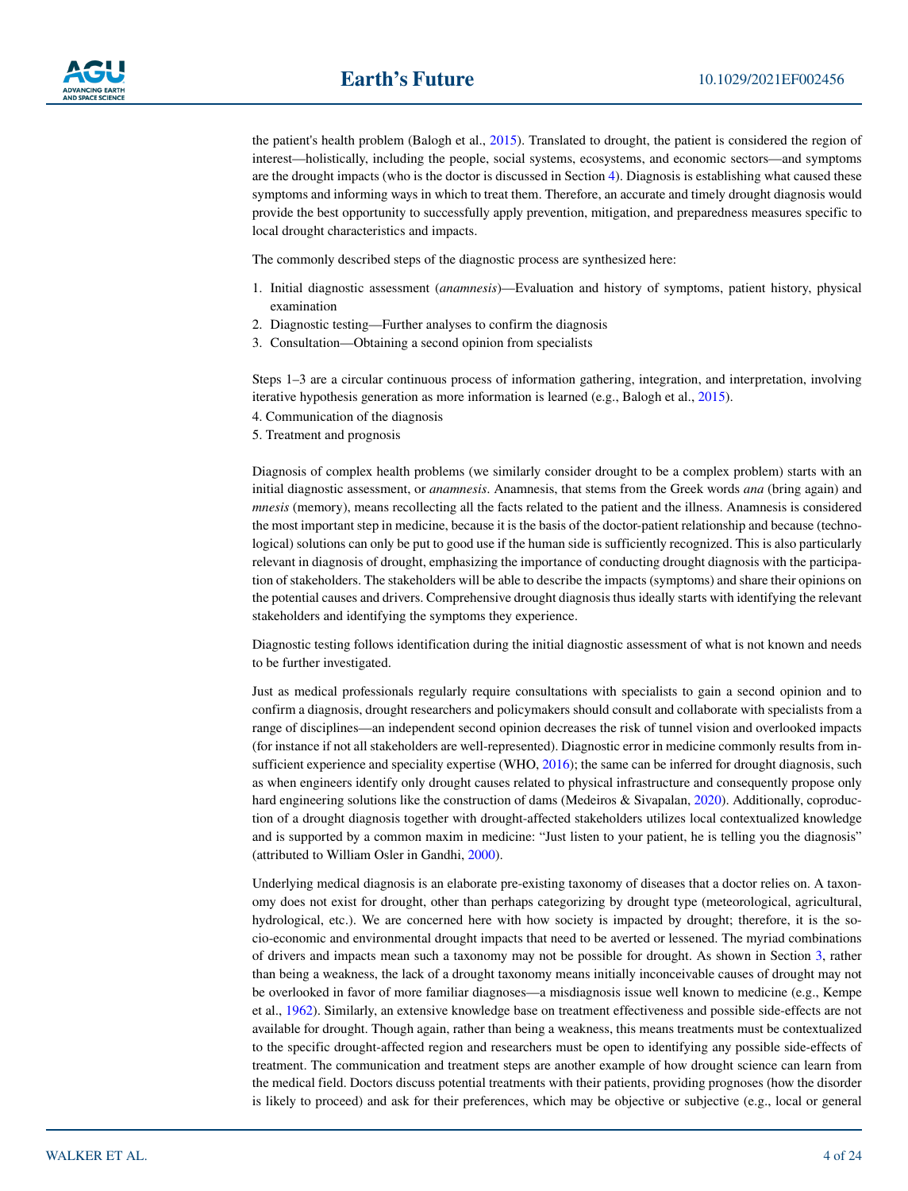the patient's health problem (Balogh et al., [2015](#page-19-4)). Translated to drought, the patient is considered the region of interest—holistically, including the people, social systems, ecosystems, and economic sectors—and symptoms are the drought impacts (who is the doctor is discussed in Section [4](#page-17-0)). Diagnosis is establishing what caused these symptoms and informing ways in which to treat them. Therefore, an accurate and timely drought diagnosis would provide the best opportunity to successfully apply prevention, mitigation, and preparedness measures specific to local drought characteristics and impacts.

The commonly described steps of the diagnostic process are synthesized here:

- 1. Initial diagnostic assessment (*anamnesis*)—Evaluation and history of symptoms, patient history, physical examination
- 2. Diagnostic testing—Further analyses to confirm the diagnosis
- 3. Consultation—Obtaining a second opinion from specialists

Steps 1–3 are a circular continuous process of information gathering, integration, and interpretation, involving iterative hypothesis generation as more information is learned (e.g., Balogh et al., [2015](#page-19-4)).

- 4. Communication of the diagnosis
- 5. Treatment and prognosis

Diagnosis of complex health problems (we similarly consider drought to be a complex problem) starts with an initial diagnostic assessment, or *anamnesis*. Anamnesis, that stems from the Greek words *ana* (bring again) and *mnesis* (memory), means recollecting all the facts related to the patient and the illness. Anamnesis is considered the most important step in medicine, because it is the basis of the doctor-patient relationship and because (technological) solutions can only be put to good use if the human side is sufficiently recognized. This is also particularly relevant in diagnosis of drought, emphasizing the importance of conducting drought diagnosis with the participation of stakeholders. The stakeholders will be able to describe the impacts (symptoms) and share their opinions on the potential causes and drivers. Comprehensive drought diagnosis thus ideally starts with identifying the relevant stakeholders and identifying the symptoms they experience.

Diagnostic testing follows identification during the initial diagnostic assessment of what is not known and needs to be further investigated.

Just as medical professionals regularly require consultations with specialists to gain a second opinion and to confirm a diagnosis, drought researchers and policymakers should consult and collaborate with specialists from a range of disciplines—an independent second opinion decreases the risk of tunnel vision and overlooked impacts (for instance if not all stakeholders are well-represented). Diagnostic error in medicine commonly results from in-sufficient experience and speciality expertise (WHO, [2016](#page-23-7)); the same can be inferred for drought diagnosis, such as when engineers identify only drought causes related to physical infrastructure and consequently propose only hard engineering solutions like the construction of dams (Medeiros & Sivapalan, [2020](#page-21-7)). Additionally, coproduction of a drought diagnosis together with drought-affected stakeholders utilizes local contextualized knowledge and is supported by a common maxim in medicine: "Just listen to your patient, he is telling you the diagnosis" (attributed to William Osler in Gandhi, [2000\)](#page-20-6).

Underlying medical diagnosis is an elaborate pre-existing taxonomy of diseases that a doctor relies on. A taxonomy does not exist for drought, other than perhaps categorizing by drought type (meteorological, agricultural, hydrological, etc.). We are concerned here with how society is impacted by drought; therefore, it is the socio-economic and environmental drought impacts that need to be averted or lessened. The myriad combinations of drivers and impacts mean such a taxonomy may not be possible for drought. As shown in Section [3](#page-6-0), rather than being a weakness, the lack of a drought taxonomy means initially inconceivable causes of drought may not be overlooked in favor of more familiar diagnoses—a misdiagnosis issue well known to medicine (e.g., Kempe et al., [1962](#page-21-8)). Similarly, an extensive knowledge base on treatment effectiveness and possible side-effects are not available for drought. Though again, rather than being a weakness, this means treatments must be contextualized to the specific drought-affected region and researchers must be open to identifying any possible side-effects of treatment. The communication and treatment steps are another example of how drought science can learn from the medical field. Doctors discuss potential treatments with their patients, providing prognoses (how the disorder is likely to proceed) and ask for their preferences, which may be objective or subjective (e.g., local or general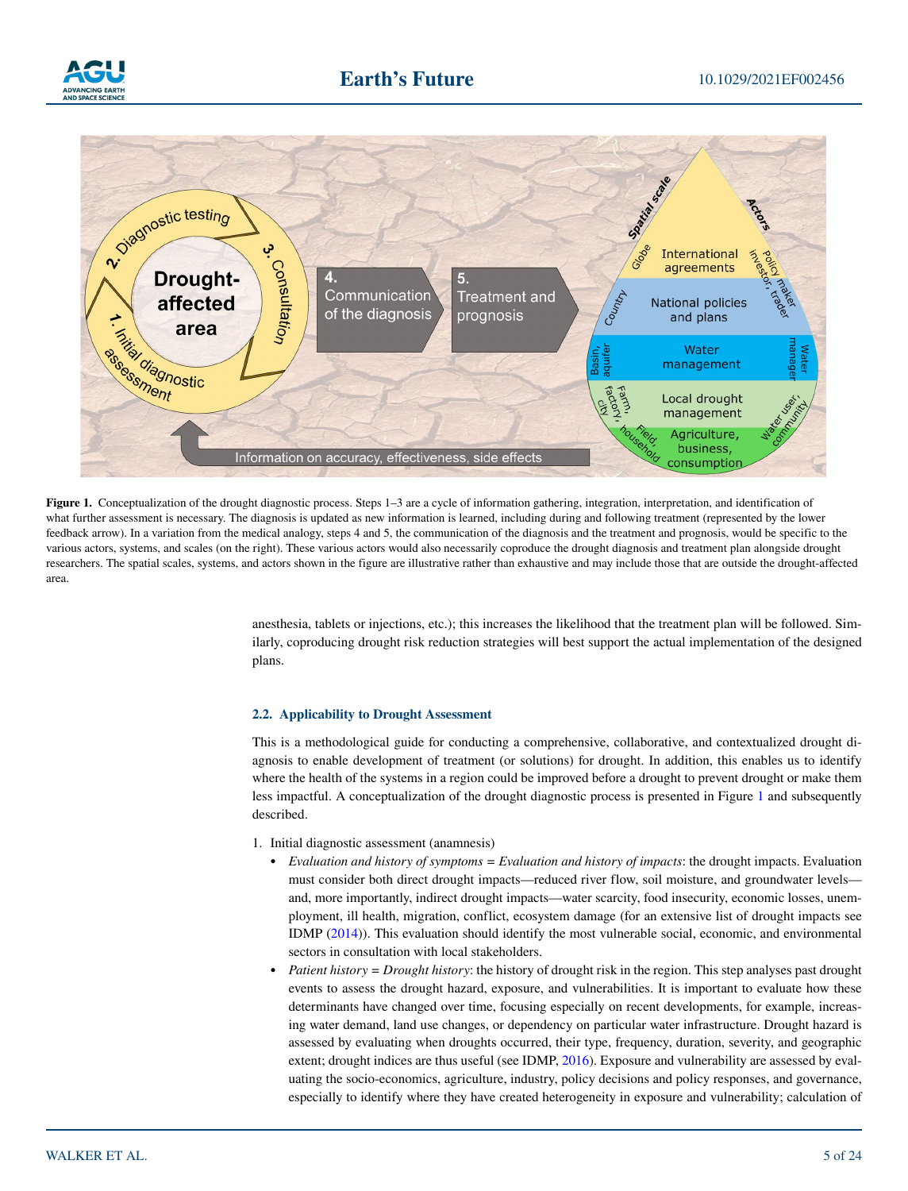



<span id="page-4-0"></span>Figure 1. Conceptualization of the drought diagnostic process. Steps 1–3 are a cycle of information gathering, integration, interpretation, and identification of what further assessment is necessary. The diagnosis is updated as new information is learned, including during and following treatment (represented by the lower feedback arrow). In a variation from the medical analogy, steps 4 and 5, the communication of the diagnosis and the treatment and prognosis, would be specific to the various actors, systems, and scales (on the right). These various actors would also necessarily coproduce the drought diagnosis and treatment plan alongside drought researchers. The spatial scales, systems, and actors shown in the figure are illustrative rather than exhaustive and may include those that are outside the drought-affected area.

anesthesia, tablets or injections, etc.); this increases the likelihood that the treatment plan will be followed. Similarly, coproducing drought risk reduction strategies will best support the actual implementation of the designed plans.

### <span id="page-4-1"></span>**2.2. Applicability to Drought Assessment**

This is a methodological guide for conducting a comprehensive, collaborative, and contextualized drought diagnosis to enable development of treatment (or solutions) for drought. In addition, this enables us to identify where the health of the systems in a region could be improved before a drought to prevent drought or make them less impactful. A conceptualization of the drought diagnostic process is presented in Figure [1](#page-4-0) and subsequently described.

- 1. Initial diagnostic assessment (anamnesis)
	- *Evaluation and history of symptoms = Evaluation and history of impacts*: the drought impacts. Evaluation must consider both direct drought impacts—reduced river flow, soil moisture, and groundwater levels and, more importantly, indirect drought impacts—water scarcity, food insecurity, economic losses, unemployment, ill health, migration, conflict, ecosystem damage (for an extensive list of drought impacts see IDMP [\(2014](#page-21-5))). This evaluation should identify the most vulnerable social, economic, and environmental sectors in consultation with local stakeholders.
	- *Patient history = Drought history*: the history of drought risk in the region. This step analyses past drought events to assess the drought hazard, exposure, and vulnerabilities. It is important to evaluate how these determinants have changed over time, focusing especially on recent developments, for example, increasing water demand, land use changes, or dependency on particular water infrastructure. Drought hazard is assessed by evaluating when droughts occurred, their type, frequency, duration, severity, and geographic extent; drought indices are thus useful (see IDMP, [2016\)](#page-21-9). Exposure and vulnerability are assessed by evaluating the socio-economics, agriculture, industry, policy decisions and policy responses, and governance, especially to identify where they have created heterogeneity in exposure and vulnerability; calculation of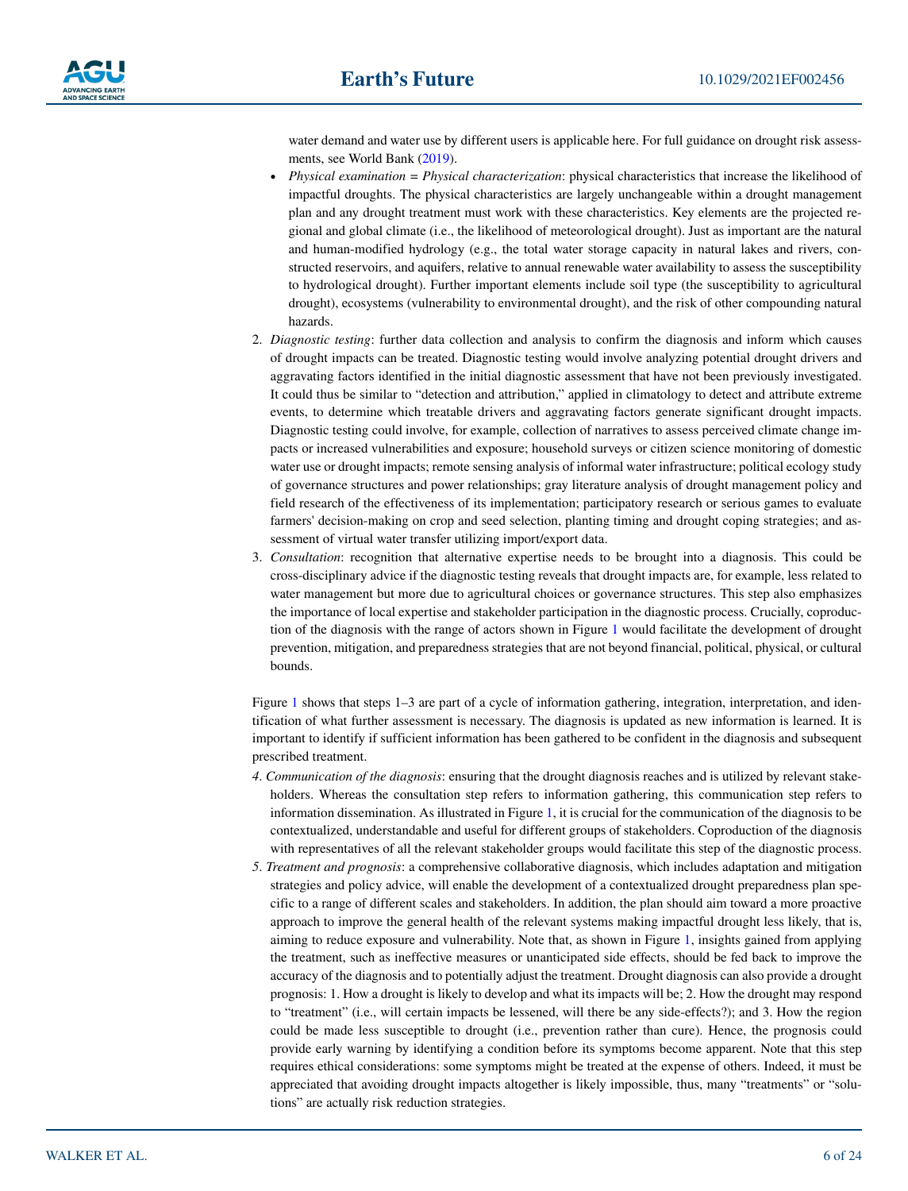water demand and water use by different users is applicable here. For full guidance on drought risk assessments, see World Bank ([2019\)](#page-23-8).

- *Physical examination = Physical characterization*: physical characteristics that increase the likelihood of impactful droughts. The physical characteristics are largely unchangeable within a drought management plan and any drought treatment must work with these characteristics. Key elements are the projected regional and global climate (i.e., the likelihood of meteorological drought). Just as important are the natural and human-modified hydrology (e.g., the total water storage capacity in natural lakes and rivers, constructed reservoirs, and aquifers, relative to annual renewable water availability to assess the susceptibility to hydrological drought). Further important elements include soil type (the susceptibility to agricultural drought), ecosystems (vulnerability to environmental drought), and the risk of other compounding natural hazards.
- 2. *Diagnostic testing*: further data collection and analysis to confirm the diagnosis and inform which causes of drought impacts can be treated. Diagnostic testing would involve analyzing potential drought drivers and aggravating factors identified in the initial diagnostic assessment that have not been previously investigated. It could thus be similar to "detection and attribution," applied in climatology to detect and attribute extreme events, to determine which treatable drivers and aggravating factors generate significant drought impacts. Diagnostic testing could involve, for example, collection of narratives to assess perceived climate change impacts or increased vulnerabilities and exposure; household surveys or citizen science monitoring of domestic water use or drought impacts; remote sensing analysis of informal water infrastructure; political ecology study of governance structures and power relationships; gray literature analysis of drought management policy and field research of the effectiveness of its implementation; participatory research or serious games to evaluate farmers' decision-making on crop and seed selection, planting timing and drought coping strategies; and assessment of virtual water transfer utilizing import/export data.
- 3. *Consultation*: recognition that alternative expertise needs to be brought into a diagnosis. This could be cross-disciplinary advice if the diagnostic testing reveals that drought impacts are, for example, less related to water management but more due to agricultural choices or governance structures. This step also emphasizes the importance of local expertise and stakeholder participation in the diagnostic process. Crucially, coproduction of the diagnosis with the range of actors shown in Figure [1](#page-4-0) would facilitate the development of drought prevention, mitigation, and preparedness strategies that are not beyond financial, political, physical, or cultural bounds.

Figure [1](#page-4-0) shows that steps 1–3 are part of a cycle of information gathering, integration, interpretation, and identification of what further assessment is necessary. The diagnosis is updated as new information is learned. It is important to identify if sufficient information has been gathered to be confident in the diagnosis and subsequent prescribed treatment.

- *4*. *Communication of the diagnosis*: ensuring that the drought diagnosis reaches and is utilized by relevant stakeholders. Whereas the consultation step refers to information gathering, this communication step refers to information dissemination. As illustrated in Figure [1](#page-4-0), it is crucial for the communication of the diagnosis to be contextualized, understandable and useful for different groups of stakeholders. Coproduction of the diagnosis with representatives of all the relevant stakeholder groups would facilitate this step of the diagnostic process.
- *5*. *Treatment and prognosis*: a comprehensive collaborative diagnosis, which includes adaptation and mitigation strategies and policy advice, will enable the development of a contextualized drought preparedness plan specific to a range of different scales and stakeholders. In addition, the plan should aim toward a more proactive approach to improve the general health of the relevant systems making impactful drought less likely, that is, aiming to reduce exposure and vulnerability. Note that, as shown in Figure [1](#page-4-0), insights gained from applying the treatment, such as ineffective measures or unanticipated side effects, should be fed back to improve the accuracy of the diagnosis and to potentially adjust the treatment. Drought diagnosis can also provide a drought prognosis: 1. How a drought is likely to develop and what its impacts will be; 2. How the drought may respond to "treatment" (i.e., will certain impacts be lessened, will there be any side-effects?); and 3. How the region could be made less susceptible to drought (i.e., prevention rather than cure). Hence, the prognosis could provide early warning by identifying a condition before its symptoms become apparent. Note that this step requires ethical considerations: some symptoms might be treated at the expense of others. Indeed, it must be appreciated that avoiding drought impacts altogether is likely impossible, thus, many "treatments" or "solutions" are actually risk reduction strategies.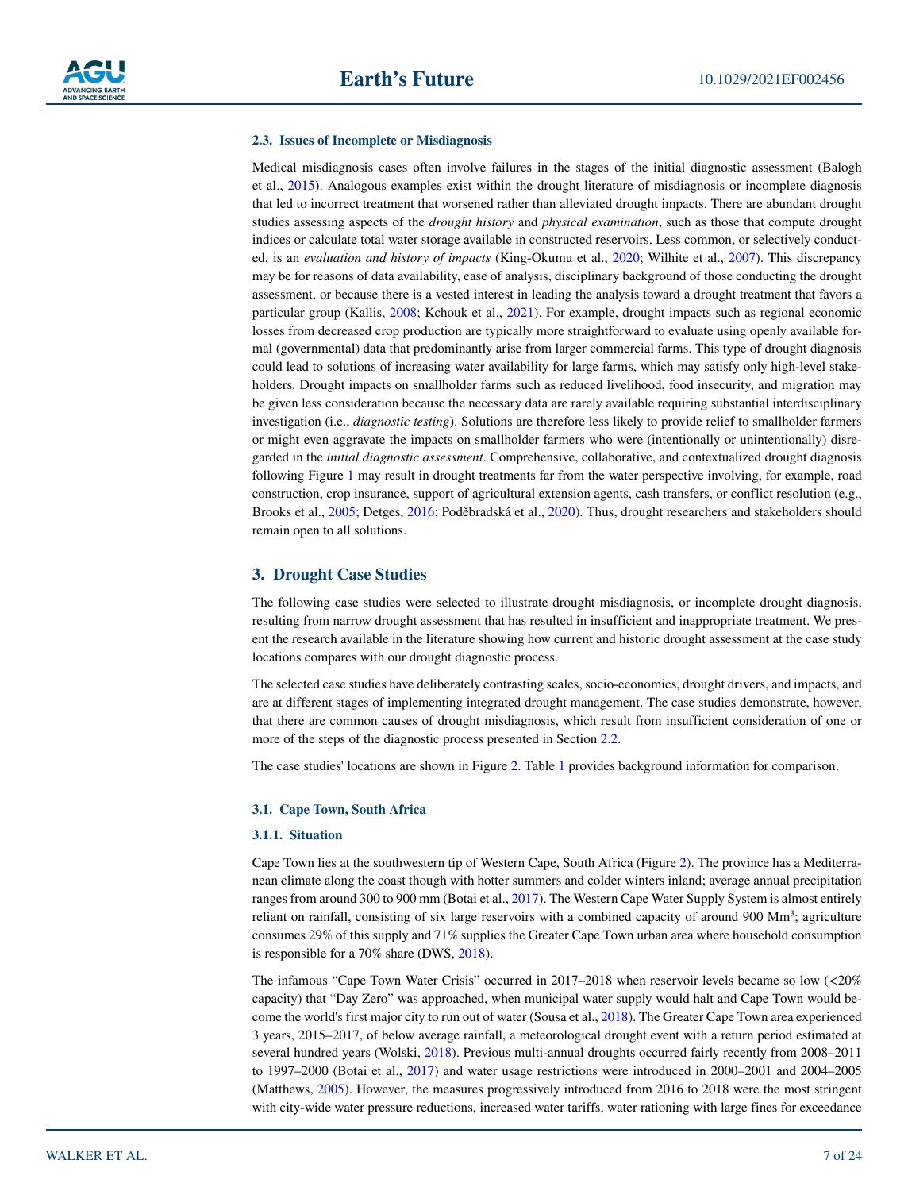#### **2.3. Issues of Incomplete or Misdiagnosis**

Medical misdiagnosis cases often involve failures in the stages of the initial diagnostic assessment (Balogh et al., [2015\)](#page-19-4). Analogous examples exist within the drought literature of misdiagnosis or incomplete diagnosis that led to incorrect treatment that worsened rather than alleviated drought impacts. There are abundant drought studies assessing aspects of the *drought history* and *physical examination*, such as those that compute drought indices or calculate total water storage available in constructed reservoirs. Less common, or selectively conducted, is an *evaluation and history of impacts* (King-Okumu et al., [2020](#page-21-10); Wilhite et al., [2007](#page-23-9)). This discrepancy may be for reasons of data availability, ease of analysis, disciplinary background of those conducting the drought assessment, or because there is a vested interest in leading the analysis toward a drought treatment that favors a particular group (Kallis, [2008;](#page-21-11) Kchouk et al., [2021\)](#page-21-12). For example, drought impacts such as regional economic losses from decreased crop production are typically more straightforward to evaluate using openly available formal (governmental) data that predominantly arise from larger commercial farms. This type of drought diagnosis could lead to solutions of increasing water availability for large farms, which may satisfy only high-level stakeholders. Drought impacts on smallholder farms such as reduced livelihood, food insecurity, and migration may be given less consideration because the necessary data are rarely available requiring substantial interdisciplinary investigation (i.e., *diagnostic testing*). Solutions are therefore less likely to provide relief to smallholder farmers or might even aggravate the impacts on smallholder farmers who were (intentionally or unintentionally) disregarded in the *initial diagnostic assessment*. Comprehensive, collaborative, and contextualized drought diagnosis following Figure [1](#page-4-0) may result in drought treatments far from the water perspective involving, for example, road construction, crop insurance, support of agricultural extension agents, cash transfers, or conflict resolution (e.g., Brooks et al., [2005](#page-20-7); Detges, [2016;](#page-20-8) Poděbradská et al., [2020\)](#page-22-3). Thus, drought researchers and stakeholders should remain open to all solutions.

#### <span id="page-6-0"></span>**3. Drought Case Studies**

The following case studies were selected to illustrate drought misdiagnosis, or incomplete drought diagnosis, resulting from narrow drought assessment that has resulted in insufficient and inappropriate treatment. We present the research available in the literature showing how current and historic drought assessment at the case study locations compares with our drought diagnostic process.

The selected case studies have deliberately contrasting scales, socio-economics, drought drivers, and impacts, and are at different stages of implementing integrated drought management. The case studies demonstrate, however, that there are common causes of drought misdiagnosis, which result from insufficient consideration of one or more of the steps of the diagnostic process presented in Section [2.2.](#page-4-1)

The case studies' locations are shown in Figure [2.](#page-7-0) Table [1](#page-8-0) provides background information for comparison.

#### **3.1. Cape Town, South Africa**

#### **3.1.1. Situation**

Cape Town lies at the southwestern tip of Western Cape, South Africa (Figure [2](#page-7-0)). The province has a Mediterranean climate along the coast though with hotter summers and colder winters inland; average annual precipitation ranges from around 300 to 900 mm (Botai et al., [2017\)](#page-19-5). The Western Cape Water Supply System is almost entirely reliant on rainfall, consisting of six large reservoirs with a combined capacity of around 900 Mm<sup>3</sup>; agriculture consumes 29% of this supply and 71% supplies the Greater Cape Town urban area where household consumption is responsible for a 70% share (DWS, [2018](#page-20-9)).

The infamous "Cape Town Water Crisis" occurred in 2017–2018 when reservoir levels became so low (<20% capacity) that "Day Zero" was approached, when municipal water supply would halt and Cape Town would become the world's first major city to run out of water (Sousa et al., [2018\)](#page-22-4). The Greater Cape Town area experienced 3 years, 2015–2017, of below average rainfall, a meteorological drought event with a return period estimated at several hundred years (Wolski, [2018\)](#page-23-10). Previous multi-annual droughts occurred fairly recently from 2008–2011 to 1997–2000 (Botai et al., [2017](#page-19-5)) and water usage restrictions were introduced in 2000–2001 and 2004–2005 (Matthews, [2005](#page-21-13)). However, the measures progressively introduced from 2016 to 2018 were the most stringent with city-wide water pressure reductions, increased water tariffs, water rationing with large fines for exceedance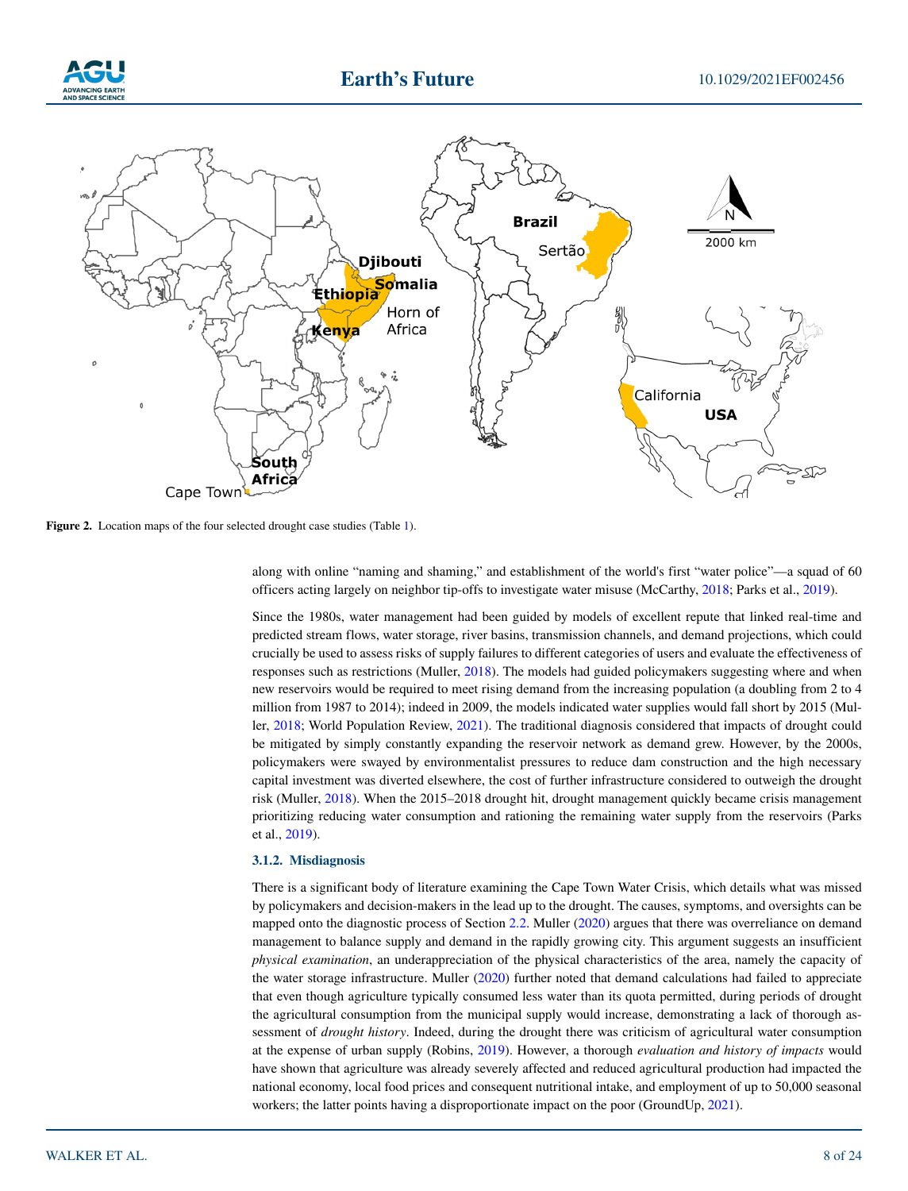



<span id="page-7-0"></span>**Figure 2.** Location maps of the four selected drought case studies (Table [1](#page-8-0)).

along with online "naming and shaming," and establishment of the world's first "water police"—a squad of 60 officers acting largely on neighbor tip-offs to investigate water misuse (McCarthy, [2018;](#page-21-14) Parks et al., [2019\)](#page-22-5).

Since the 1980s, water management had been guided by models of excellent repute that linked real-time and predicted stream flows, water storage, river basins, transmission channels, and demand projections, which could crucially be used to assess risks of supply failures to different categories of users and evaluate the effectiveness of responses such as restrictions (Muller, [2018](#page-21-15)). The models had guided policymakers suggesting where and when new reservoirs would be required to meet rising demand from the increasing population (a doubling from 2 to 4 million from 1987 to 2014); indeed in 2009, the models indicated water supplies would fall short by 2015 (Muller, [2018](#page-21-15); World Population Review, [2021](#page-23-11)). The traditional diagnosis considered that impacts of drought could be mitigated by simply constantly expanding the reservoir network as demand grew. However, by the 2000s, policymakers were swayed by environmentalist pressures to reduce dam construction and the high necessary capital investment was diverted elsewhere, the cost of further infrastructure considered to outweigh the drought risk (Muller, [2018\)](#page-21-15). When the 2015–2018 drought hit, drought management quickly became crisis management prioritizing reducing water consumption and rationing the remaining water supply from the reservoirs (Parks et al., [2019\)](#page-22-5).

#### **3.1.2. Misdiagnosis**

There is a significant body of literature examining the Cape Town Water Crisis, which details what was missed by policymakers and decision-makers in the lead up to the drought. The causes, symptoms, and oversights can be mapped onto the diagnostic process of Section [2.2](#page-4-1). Muller ([2020\)](#page-21-16) argues that there was overreliance on demand management to balance supply and demand in the rapidly growing city. This argument suggests an insufficient *physical examination*, an underappreciation of the physical characteristics of the area, namely the capacity of the water storage infrastructure. Muller [\(2020](#page-21-16)) further noted that demand calculations had failed to appreciate that even though agriculture typically consumed less water than its quota permitted, during periods of drought the agricultural consumption from the municipal supply would increase, demonstrating a lack of thorough assessment of *drought history*. Indeed, during the drought there was criticism of agricultural water consumption at the expense of urban supply (Robins, [2019](#page-22-6)). However, a thorough *evaluation and history of impacts* would have shown that agriculture was already severely affected and reduced agricultural production had impacted the national economy, local food prices and consequent nutritional intake, and employment of up to 50,000 seasonal workers; the latter points having a disproportionate impact on the poor (GroundUp, [2021\)](#page-20-10).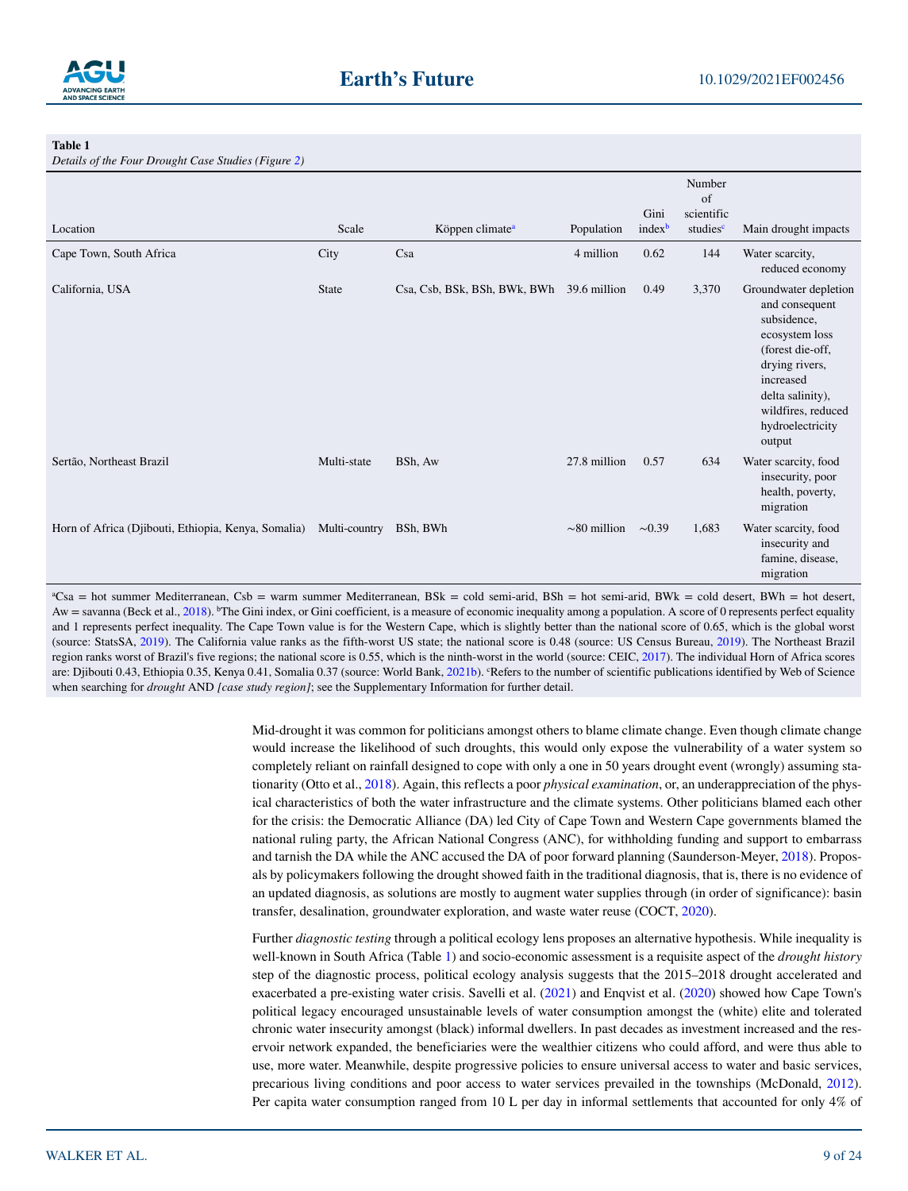

<span id="page-8-0"></span>**Table 1** 

*Details of the Four Drought Case Studies (Figure [2\)](#page-7-0)*

| $D$ cians of the Four Drought Case Sinales (Figure 2) |               |                              |                   |                            |                                                    |                                                                                                                                                                                                     |  |
|-------------------------------------------------------|---------------|------------------------------|-------------------|----------------------------|----------------------------------------------------|-----------------------------------------------------------------------------------------------------------------------------------------------------------------------------------------------------|--|
| Location                                              | Scale         | Köppen climate <sup>a</sup>  | Population        | Gini<br>index <sup>b</sup> | Number<br>of<br>scientific<br>studies <sup>c</sup> | Main drought impacts                                                                                                                                                                                |  |
|                                                       |               |                              |                   |                            |                                                    |                                                                                                                                                                                                     |  |
| Cape Town, South Africa                               | City          | Csa                          | 4 million         | 0.62                       | 144                                                | Water scarcity,<br>reduced economy                                                                                                                                                                  |  |
| California, USA                                       | <b>State</b>  | Csa, Csb, BSk, BSh, BWk, BWh | 39.6 million      | 0.49                       | 3,370                                              | Groundwater depletion<br>and consequent<br>subsidence,<br>ecosystem loss<br>(forest die-off,<br>drying rivers,<br>increased<br>delta salinity),<br>wildfires, reduced<br>hydroelectricity<br>output |  |
| Sertão, Northeast Brazil                              | Multi-state   | BSh, Aw                      | 27.8 million      | 0.57                       | 634                                                | Water scarcity, food<br>insecurity, poor<br>health, poverty,<br>migration                                                                                                                           |  |
| Horn of Africa (Djibouti, Ethiopia, Kenya, Somalia)   | Multi-country | BSh, BWh                     | $\sim 80$ million | $\sim 0.39$                | 1,683                                              | Water scarcity, food<br>insecurity and<br>famine, disease,<br>migration                                                                                                                             |  |

a Csa = hot summer Mediterranean, Csb = warm summer Mediterranean, BSk = cold semi-arid, BSh = hot semi-arid, BWk = cold desert, BWh = hot desert, Aw = savanna (Beck et al., [2018](#page-19-6)). <sup>b</sup>The Gini index, or Gini coefficient, is a measure of economic inequality among a population. A score of 0 represents perfect equality and 1 represents perfect inequality. The Cape Town value is for the Western Cape, which is slightly better than the national score of 0.65, which is the global worst (source: StatsSA, [2019\)](#page-22-10). The California value ranks as the fifth-worst US state; the national score is 0.48 (source: US Census Bureau, [2019\)](#page-23-12). The Northeast Brazil region ranks worst of Brazil's five regions; the national score is 0.55, which is the ninth-worst in the world (source: CEIC, [2017\)](#page-20-13). The individual Horn of Africa scores are: Djibouti 0.43, Ethiopia 0.35, Kenya 0.41, Somalia 0.37 (source: World Bank, [2021b\)](#page-23-13). "Refers to the number of scientific publications identified by Web of Science when searching for *drought* AND *[case study region]*; see the Supplementary Information for further detail.

> Mid-drought it was common for politicians amongst others to blame climate change. Even though climate change would increase the likelihood of such droughts, this would only expose the vulnerability of a water system so completely reliant on rainfall designed to cope with only a one in 50 years drought event (wrongly) assuming stationarity (Otto et al., [2018](#page-22-7)). Again, this reflects a poor *physical examination*, or, an underappreciation of the physical characteristics of both the water infrastructure and the climate systems. Other politicians blamed each other for the crisis: the Democratic Alliance (DA) led City of Cape Town and Western Cape governments blamed the national ruling party, the African National Congress (ANC), for withholding funding and support to embarrass and tarnish the DA while the ANC accused the DA of poor forward planning (Saunderson-Meyer, [2018](#page-22-8)). Proposals by policymakers following the drought showed faith in the traditional diagnosis, that is, there is no evidence of an updated diagnosis, as solutions are mostly to augment water supplies through (in order of significance): basin transfer, desalination, groundwater exploration, and waste water reuse (COCT, [2020](#page-20-11)).

> Further *diagnostic testing* through a political ecology lens proposes an alternative hypothesis. While inequality is well-known in South Africa (Table [1](#page-8-0)) and socio-economic assessment is a requisite aspect of the *drought history* step of the diagnostic process, political ecology analysis suggests that the 2015–2018 drought accelerated and exacerbated a pre-existing water crisis. Savelli et al. [\(2021](#page-22-9)) and Enqvist et al. ([2020\)](#page-20-12) showed how Cape Town's political legacy encouraged unsustainable levels of water consumption amongst the (white) elite and tolerated chronic water insecurity amongst (black) informal dwellers. In past decades as investment increased and the reservoir network expanded, the beneficiaries were the wealthier citizens who could afford, and were thus able to use, more water. Meanwhile, despite progressive policies to ensure universal access to water and basic services, precarious living conditions and poor access to water services prevailed in the townships (McDonald, [2012](#page-21-17)). Per capita water consumption ranged from 10 L per day in informal settlements that accounted for only 4% of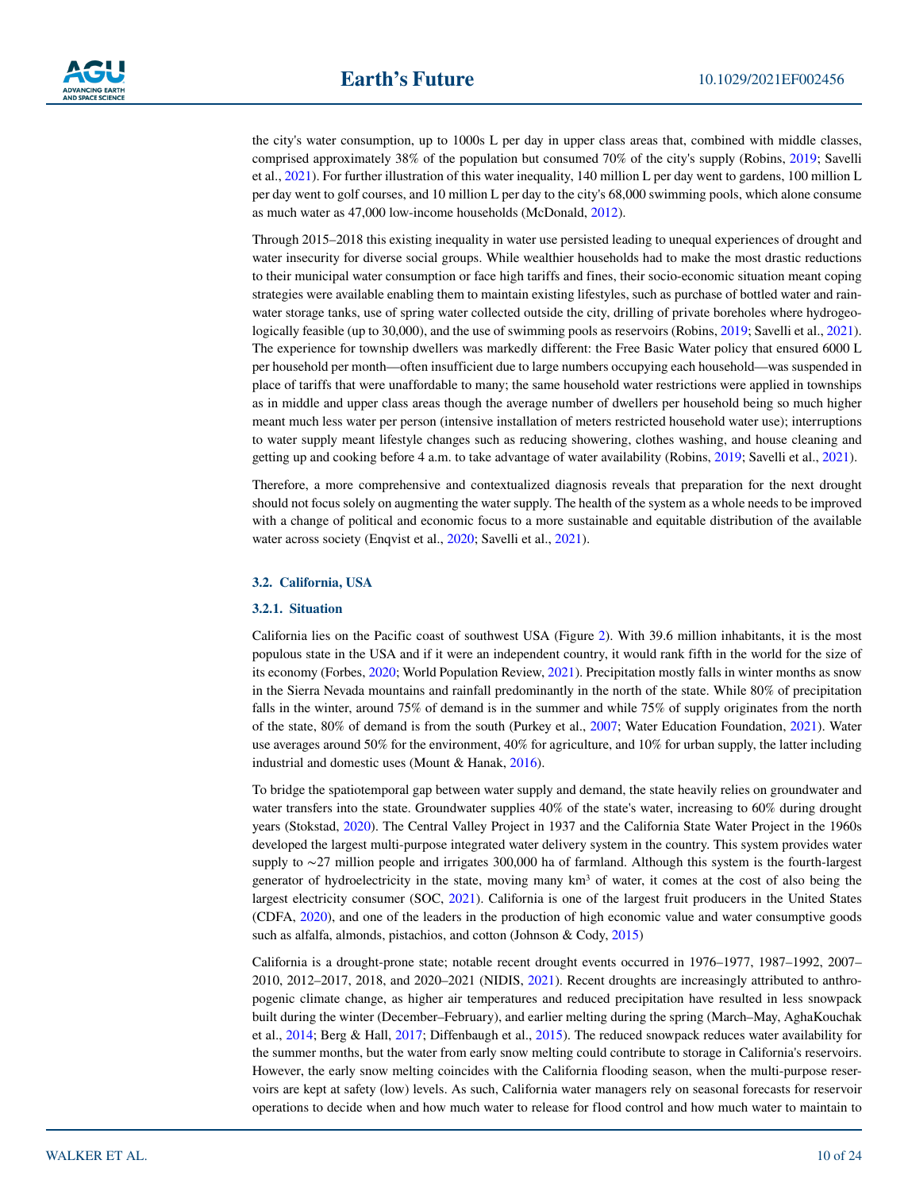the city's water consumption, up to 1000s L per day in upper class areas that, combined with middle classes, comprised approximately 38% of the population but consumed 70% of the city's supply (Robins, [2019;](#page-22-6) Savelli et al., [2021](#page-22-9)). For further illustration of this water inequality, 140 million L per day went to gardens, 100 million L per day went to golf courses, and 10 million L per day to the city's 68,000 swimming pools, which alone consume as much water as 47,000 low-income households (McDonald, [2012](#page-21-17)).

Through 2015–2018 this existing inequality in water use persisted leading to unequal experiences of drought and water insecurity for diverse social groups. While wealthier households had to make the most drastic reductions to their municipal water consumption or face high tariffs and fines, their socio-economic situation meant coping strategies were available enabling them to maintain existing lifestyles, such as purchase of bottled water and rainwater storage tanks, use of spring water collected outside the city, drilling of private boreholes where hydrogeo-logically feasible (up to 30,000), and the use of swimming pools as reservoirs (Robins, [2019;](#page-22-6) Savelli et al., [2021](#page-22-9)). The experience for township dwellers was markedly different: the Free Basic Water policy that ensured 6000 L per household per month—often insufficient due to large numbers occupying each household—was suspended in place of tariffs that were unaffordable to many; the same household water restrictions were applied in townships as in middle and upper class areas though the average number of dwellers per household being so much higher meant much less water per person (intensive installation of meters restricted household water use); interruptions to water supply meant lifestyle changes such as reducing showering, clothes washing, and house cleaning and getting up and cooking before 4 a.m. to take advantage of water availability (Robins, [2019;](#page-22-6) Savelli et al., [2021](#page-22-9)).

Therefore, a more comprehensive and contextualized diagnosis reveals that preparation for the next drought should not focus solely on augmenting the water supply. The health of the system as a whole needs to be improved with a change of political and economic focus to a more sustainable and equitable distribution of the available water across society (Enqvist et al., [2020;](#page-20-12) Savelli et al., [2021](#page-22-9)).

#### **3.2. California, USA**

#### **3.2.1. Situation**

California lies on the Pacific coast of southwest USA (Figure [2\)](#page-7-0). With 39.6 million inhabitants, it is the most populous state in the USA and if it were an independent country, it would rank fifth in the world for the size of its economy (Forbes, [2020](#page-20-14); World Population Review, [2021\)](#page-23-11). Precipitation mostly falls in winter months as snow in the Sierra Nevada mountains and rainfall predominantly in the north of the state. While 80% of precipitation falls in the winter, around 75% of demand is in the summer and while 75% of supply originates from the north of the state, 80% of demand is from the south (Purkey et al., [2007;](#page-22-11) Water Education Foundation, [2021](#page-23-14)). Water use averages around 50% for the environment, 40% for agriculture, and 10% for urban supply, the latter including industrial and domestic uses (Mount & Hanak, [2016\)](#page-21-18).

To bridge the spatiotemporal gap between water supply and demand, the state heavily relies on groundwater and water transfers into the state. Groundwater supplies 40% of the state's water, increasing to 60% during drought years (Stokstad, [2020](#page-23-15)). The Central Valley Project in 1937 and the California State Water Project in the 1960s developed the largest multi-purpose integrated water delivery system in the country. This system provides water supply to ∼27 million people and irrigates 300,000 ha of farmland. Although this system is the fourth-largest generator of hydroelectricity in the state, moving many  $km<sup>3</sup>$  of water, it comes at the cost of also being the largest electricity consumer (SOC, [2021](#page-22-12)). California is one of the largest fruit producers in the United States (CDFA, [2020\)](#page-20-15), and one of the leaders in the production of high economic value and water consumptive goods such as alfalfa, almonds, pistachios, and cotton (Johnson & Cody, [2015](#page-21-19))

California is a drought-prone state; notable recent drought events occurred in 1976–1977, 1987–1992, 2007– 2010, 2012–2017, 2018, and 2020–2021 (NIDIS, [2021](#page-22-13)). Recent droughts are increasingly attributed to anthropogenic climate change, as higher air temperatures and reduced precipitation have resulted in less snowpack built during the winter (December–February), and earlier melting during the spring (March–May, AghaKouchak et al., [2014](#page-19-7); Berg & Hall, [2017;](#page-19-8) Diffenbaugh et al., [2015\)](#page-20-16). The reduced snowpack reduces water availability for the summer months, but the water from early snow melting could contribute to storage in California's reservoirs. However, the early snow melting coincides with the California flooding season, when the multi-purpose reservoirs are kept at safety (low) levels. As such, California water managers rely on seasonal forecasts for reservoir operations to decide when and how much water to release for flood control and how much water to maintain to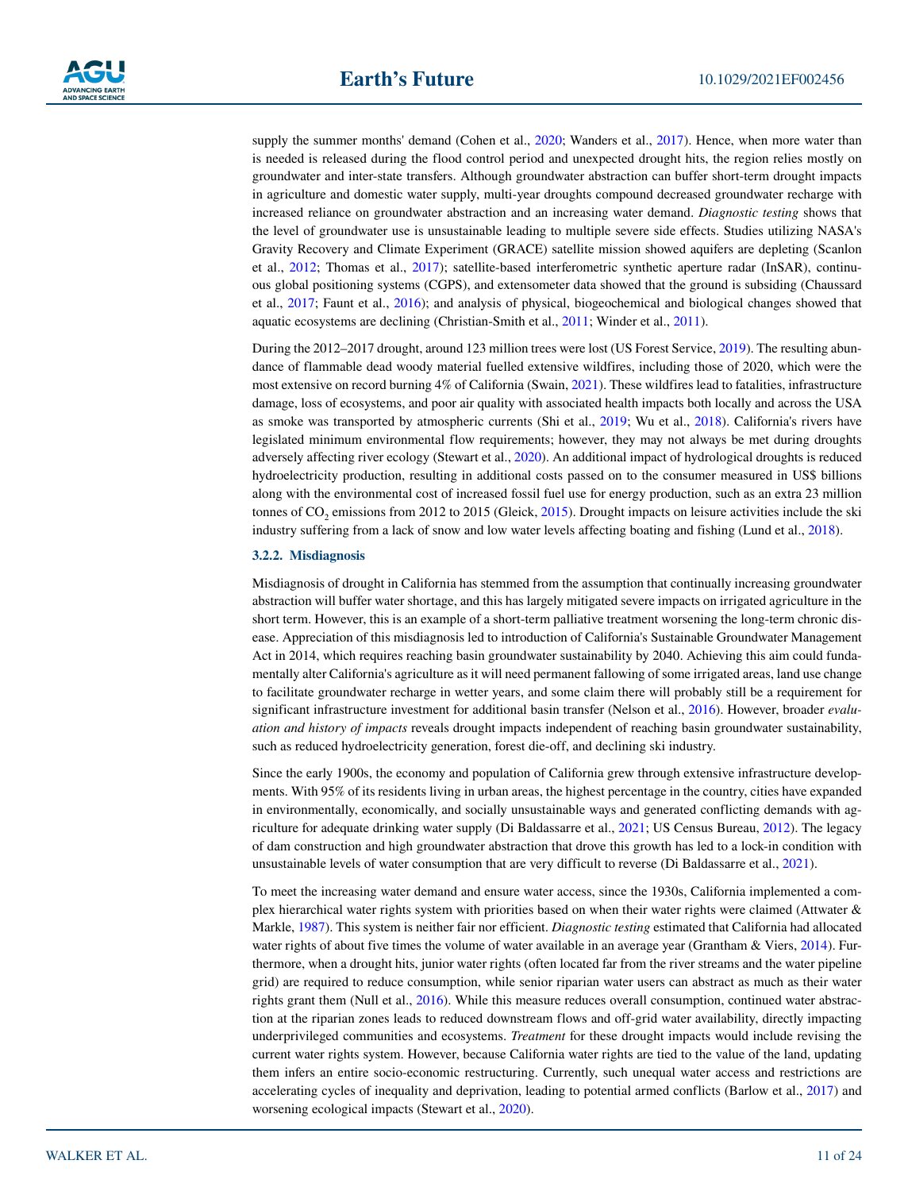supply the summer months' demand (Cohen et al., [2020;](#page-20-17) Wanders et al., [2017\)](#page-23-16). Hence, when more water than is needed is released during the flood control period and unexpected drought hits, the region relies mostly on groundwater and inter-state transfers. Although groundwater abstraction can buffer short-term drought impacts in agriculture and domestic water supply, multi-year droughts compound decreased groundwater recharge with increased reliance on groundwater abstraction and an increasing water demand. *Diagnostic testing* shows that the level of groundwater use is unsustainable leading to multiple severe side effects. Studies utilizing NASA's Gravity Recovery and Climate Experiment (GRACE) satellite mission showed aquifers are depleting (Scanlon et al., [2012;](#page-22-14) Thomas et al., [2017\)](#page-23-17); satellite-based interferometric synthetic aperture radar (InSAR), continuous global positioning systems (CGPS), and extensometer data showed that the ground is subsiding (Chaussard et al., [2017](#page-20-18); Faunt et al., [2016\)](#page-20-19); and analysis of physical, biogeochemical and biological changes showed that aquatic ecosystems are declining (Christian-Smith et al., [2011;](#page-20-20) Winder et al., [2011\)](#page-23-18).

During the 2012–2017 drought, around 123 million trees were lost (US Forest Service, [2019\)](#page-23-19). The resulting abundance of flammable dead woody material fuelled extensive wildfires, including those of 2020, which were the most extensive on record burning 4% of California (Swain, [2021](#page-23-20)). These wildfires lead to fatalities, infrastructure damage, loss of ecosystems, and poor air quality with associated health impacts both locally and across the USA as smoke was transported by atmospheric currents (Shi et al., [2019](#page-22-15); Wu et al., [2018\)](#page-23-21). California's rivers have legislated minimum environmental flow requirements; however, they may not always be met during droughts adversely affecting river ecology (Stewart et al., [2020](#page-23-22)). An additional impact of hydrological droughts is reduced hydroelectricity production, resulting in additional costs passed on to the consumer measured in US\$ billions along with the environmental cost of increased fossil fuel use for energy production, such as an extra 23 million tonnes of CO<sub>2</sub> emissions from 2012 to [2015](#page-20-21) (Gleick, 2015). Drought impacts on leisure activities include the ski industry suffering from a lack of snow and low water levels affecting boating and fishing (Lund et al., [2018\)](#page-21-20).

#### **3.2.2. Misdiagnosis**

Misdiagnosis of drought in California has stemmed from the assumption that continually increasing groundwater abstraction will buffer water shortage, and this has largely mitigated severe impacts on irrigated agriculture in the short term. However, this is an example of a short-term palliative treatment worsening the long-term chronic disease. Appreciation of this misdiagnosis led to introduction of California's Sustainable Groundwater Management Act in 2014, which requires reaching basin groundwater sustainability by 2040. Achieving this aim could fundamentally alter California's agriculture as it will need permanent fallowing of some irrigated areas, land use change to facilitate groundwater recharge in wetter years, and some claim there will probably still be a requirement for significant infrastructure investment for additional basin transfer (Nelson et al., [2016\)](#page-21-21). However, broader *evaluation and history of impacts* reveals drought impacts independent of reaching basin groundwater sustainability, such as reduced hydroelectricity generation, forest die-off, and declining ski industry.

Since the early 1900s, the economy and population of California grew through extensive infrastructure developments. With 95% of its residents living in urban areas, the highest percentage in the country, cities have expanded in environmentally, economically, and socially unsustainable ways and generated conflicting demands with agriculture for adequate drinking water supply (Di Baldassarre et al., [2021](#page-20-22); US Census Bureau, [2012](#page-23-23)). The legacy of dam construction and high groundwater abstraction that drove this growth has led to a lock-in condition with unsustainable levels of water consumption that are very difficult to reverse (Di Baldassarre et al., [2021\)](#page-20-22).

To meet the increasing water demand and ensure water access, since the 1930s, California implemented a complex hierarchical water rights system with priorities based on when their water rights were claimed (Attwater & Markle, [1987](#page-19-9)). This system is neither fair nor efficient. *Diagnostic testing* estimated that California had allocated water rights of about five times the volume of water available in an average year (Grantham & Viers, [2014\)](#page-20-23). Furthermore, when a drought hits, junior water rights (often located far from the river streams and the water pipeline grid) are required to reduce consumption, while senior riparian water users can abstract as much as their water rights grant them (Null et al., [2016](#page-22-16)). While this measure reduces overall consumption, continued water abstraction at the riparian zones leads to reduced downstream flows and off-grid water availability, directly impacting underprivileged communities and ecosystems. *Treatment* for these drought impacts would include revising the current water rights system. However, because California water rights are tied to the value of the land, updating them infers an entire socio-economic restructuring. Currently, such unequal water access and restrictions are accelerating cycles of inequality and deprivation, leading to potential armed conflicts (Barlow et al., [2017\)](#page-19-10) and worsening ecological impacts (Stewart et al., [2020](#page-23-22)).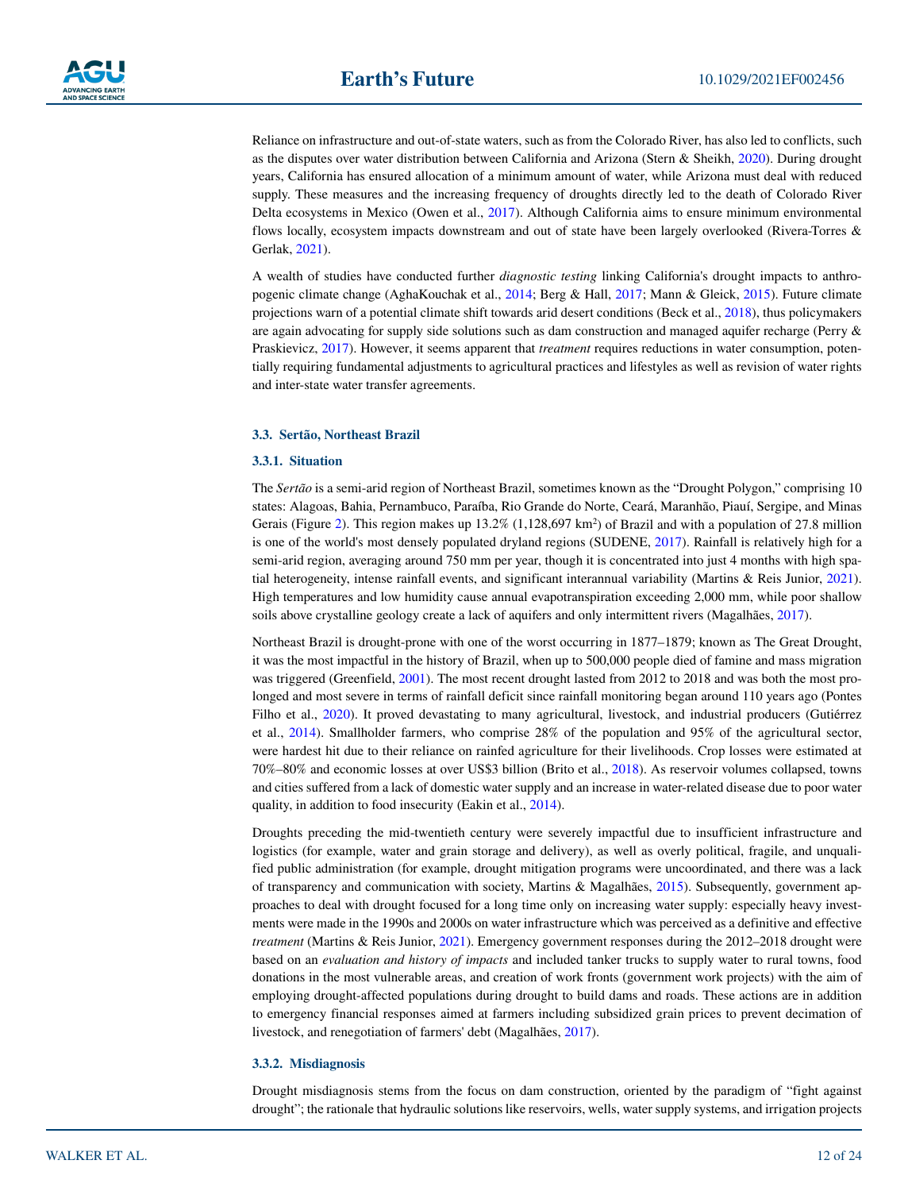Reliance on infrastructure and out-of-state waters, such as from the Colorado River, has also led to conflicts, such as the disputes over water distribution between California and Arizona (Stern & Sheikh, [2020\)](#page-23-24). During drought years, California has ensured allocation of a minimum amount of water, while Arizona must deal with reduced supply. These measures and the increasing frequency of droughts directly led to the death of Colorado River Delta ecosystems in Mexico (Owen et al., [2017\)](#page-22-17). Although California aims to ensure minimum environmental flows locally, ecosystem impacts downstream and out of state have been largely overlooked (Rivera-Torres & Gerlak, [2021\)](#page-22-18).

A wealth of studies have conducted further *diagnostic testing* linking California's drought impacts to anthropogenic climate change (AghaKouchak et al., [2014](#page-19-7); Berg & Hall, [2017](#page-19-8); Mann & Gleick, [2015](#page-21-22)). Future climate projections warn of a potential climate shift towards arid desert conditions (Beck et al., [2018\)](#page-19-6), thus policymakers are again advocating for supply side solutions such as dam construction and managed aquifer recharge (Perry & Praskievicz, [2017\)](#page-22-19). However, it seems apparent that *treatment* requires reductions in water consumption, potentially requiring fundamental adjustments to agricultural practices and lifestyles as well as revision of water rights and inter-state water transfer agreements.

#### **3.3. Sertão, Northeast Brazil**

#### **3.3.1. Situation**

The *Sertão* is a semi-arid region of Northeast Brazil, sometimes known as the "Drought Polygon," comprising 10 states: Alagoas, Bahia, Pernambuco, Paraíba, Rio Grande do Norte, Ceará, Maranhão, Piauí, Sergipe, and Minas Gerais (Figure [2](#page-7-0)). This region makes up  $13.2\%$  (1,128,697 km<sup>2</sup>) of Brazil and with a population of 27.8 million is one of the world's most densely populated dryland regions (SUDENE, [2017](#page-23-25)). Rainfall is relatively high for a semi-arid region, averaging around 750 mm per year, though it is concentrated into just 4 months with high spatial heterogeneity, intense rainfall events, and significant interannual variability (Martins & Reis Junior, [2021](#page-21-23)). High temperatures and low humidity cause annual evapotranspiration exceeding 2,000 mm, while poor shallow soils above crystalline geology create a lack of aquifers and only intermittent rivers (Magalhães, [2017](#page-21-24)).

Northeast Brazil is drought-prone with one of the worst occurring in 1877–1879; known as The Great Drought, it was the most impactful in the history of Brazil, when up to 500,000 people died of famine and mass migration was triggered (Greenfield, [2001\)](#page-20-24). The most recent drought lasted from 2012 to 2018 and was both the most prolonged and most severe in terms of rainfall deficit since rainfall monitoring began around 110 years ago (Pontes Filho et al., [2020\)](#page-22-20). It proved devastating to many agricultural, livestock, and industrial producers (Gutiérrez et al., [2014](#page-20-25)). Smallholder farmers, who comprise 28% of the population and 95% of the agricultural sector, were hardest hit due to their reliance on rainfed agriculture for their livelihoods. Crop losses were estimated at 70%–80% and economic losses at over US\$3 billion (Brito et al., [2018](#page-20-26)). As reservoir volumes collapsed, towns and cities suffered from a lack of domestic water supply and an increase in water-related disease due to poor water quality, in addition to food insecurity (Eakin et al., [2014\)](#page-20-27).

Droughts preceding the mid-twentieth century were severely impactful due to insufficient infrastructure and logistics (for example, water and grain storage and delivery), as well as overly political, fragile, and unqualified public administration (for example, drought mitigation programs were uncoordinated, and there was a lack of transparency and communication with society, Martins & Magalhães, [2015\)](#page-21-25). Subsequently, government approaches to deal with drought focused for a long time only on increasing water supply: especially heavy investments were made in the 1990s and 2000s on water infrastructure which was perceived as a definitive and effective *treatment* (Martins & Reis Junior, [2021\)](#page-21-23). Emergency government responses during the 2012–2018 drought were based on an *evaluation and history of impacts* and included tanker trucks to supply water to rural towns, food donations in the most vulnerable areas, and creation of work fronts (government work projects) with the aim of employing drought-affected populations during drought to build dams and roads. These actions are in addition to emergency financial responses aimed at farmers including subsidized grain prices to prevent decimation of livestock, and renegotiation of farmers' debt (Magalhães, [2017\)](#page-21-24).

#### **3.3.2. Misdiagnosis**

Drought misdiagnosis stems from the focus on dam construction, oriented by the paradigm of "fight against drought"; the rationale that hydraulic solutions like reservoirs, wells, water supply systems, and irrigation projects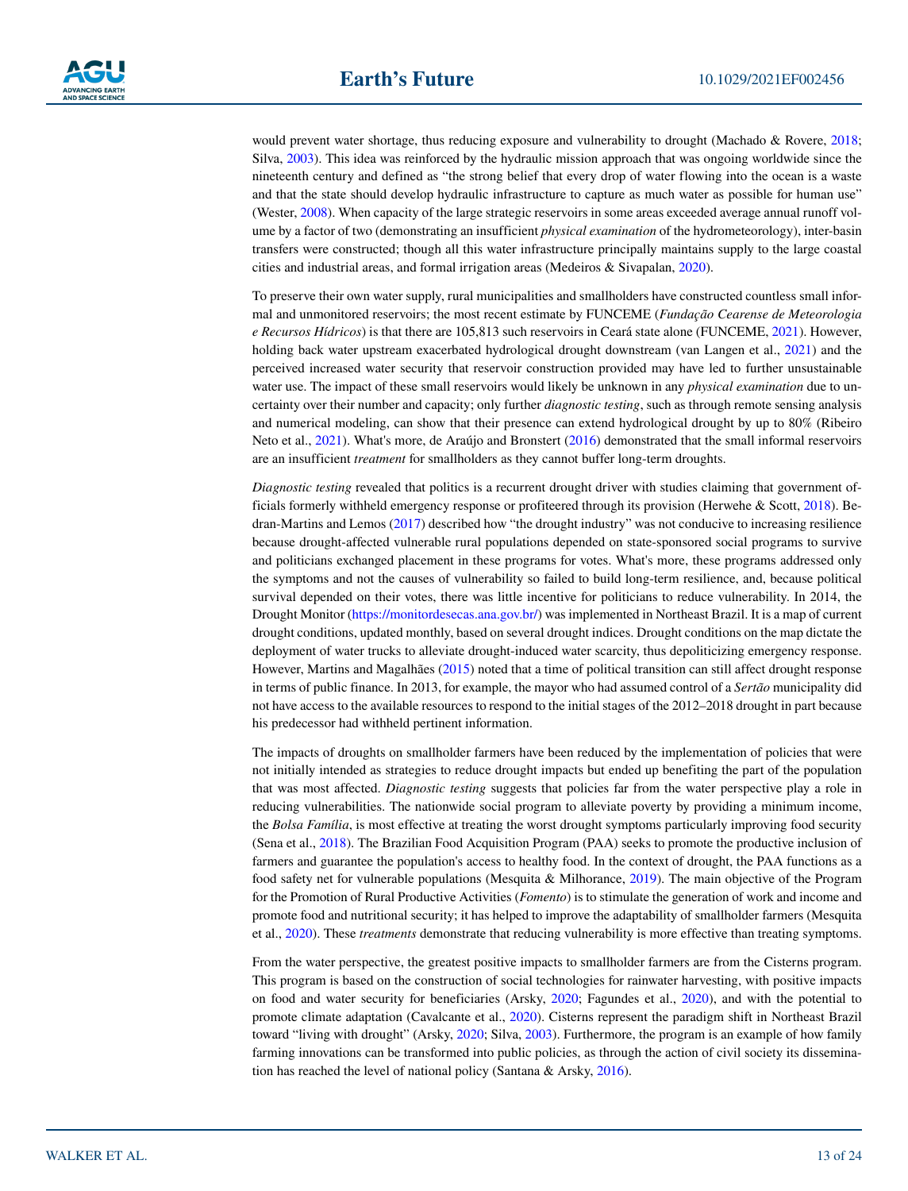would prevent water shortage, thus reducing exposure and vulnerability to drought (Machado & Rovere, [2018;](#page-21-26) Silva, [2003\)](#page-22-21). This idea was reinforced by the hydraulic mission approach that was ongoing worldwide since the nineteenth century and defined as "the strong belief that every drop of water flowing into the ocean is a waste and that the state should develop hydraulic infrastructure to capture as much water as possible for human use" (Wester, [2008\)](#page-23-26). When capacity of the large strategic reservoirs in some areas exceeded average annual runoff volume by a factor of two (demonstrating an insufficient *physical examination* of the hydrometeorology), inter-basin transfers were constructed; though all this water infrastructure principally maintains supply to the large coastal cities and industrial areas, and formal irrigation areas (Medeiros & Sivapalan, [2020](#page-21-7)).

To preserve their own water supply, rural municipalities and smallholders have constructed countless small informal and unmonitored reservoirs; the most recent estimate by FUNCEME (*Fundação Cearense de Meteorologia e Recursos Hídricos*) is that there are 105,813 such reservoirs in Ceará state alone (FUNCEME, [2021\)](#page-20-28). However, holding back water upstream exacerbated hydrological drought downstream (van Langen et al., [2021](#page-23-27)) and the perceived increased water security that reservoir construction provided may have led to further unsustainable water use. The impact of these small reservoirs would likely be unknown in any *physical examination* due to uncertainty over their number and capacity; only further *diagnostic testing*, such as through remote sensing analysis and numerical modeling, can show that their presence can extend hydrological drought by up to 80% (Ribeiro Neto et al., [2021\)](#page-22-22). What's more, de Araújo and Bronstert ([2016\)](#page-20-29) demonstrated that the small informal reservoirs are an insufficient *treatment* for smallholders as they cannot buffer long-term droughts.

*Diagnostic testing* revealed that politics is a recurrent drought driver with studies claiming that government officials formerly withheld emergency response or profiteered through its provision (Herwehe & Scott, [2018\)](#page-21-27). Bedran-Martins and Lemos ([2017\)](#page-19-11) described how "the drought industry" was not conducive to increasing resilience because drought-affected vulnerable rural populations depended on state-sponsored social programs to survive and politicians exchanged placement in these programs for votes. What's more, these programs addressed only the symptoms and not the causes of vulnerability so failed to build long-term resilience, and, because political survival depended on their votes, there was little incentive for politicians to reduce vulnerability. In 2014, the Drought Monitor [\(https://monitordesecas.ana.gov.br/\)](https://monitordesecas.ana.gov.br/) was implemented in Northeast Brazil. It is a map of current drought conditions, updated monthly, based on several drought indices. Drought conditions on the map dictate the deployment of water trucks to alleviate drought-induced water scarcity, thus depoliticizing emergency response. However, Martins and Magalhães [\(2015](#page-21-25)) noted that a time of political transition can still affect drought response in terms of public finance. In 2013, for example, the mayor who had assumed control of a *Sertão* municipality did not have access to the available resources to respond to the initial stages of the 2012–2018 drought in part because his predecessor had withheld pertinent information.

The impacts of droughts on smallholder farmers have been reduced by the implementation of policies that were not initially intended as strategies to reduce drought impacts but ended up benefiting the part of the population that was most affected. *Diagnostic testing* suggests that policies far from the water perspective play a role in reducing vulnerabilities. The nationwide social program to alleviate poverty by providing a minimum income, the *Bolsa Família*, is most effective at treating the worst drought symptoms particularly improving food security (Sena et al., [2018](#page-22-23)). The Brazilian Food Acquisition Program (PAA) seeks to promote the productive inclusion of farmers and guarantee the population's access to healthy food. In the context of drought, the PAA functions as a food safety net for vulnerable populations (Mesquita & Milhorance, [2019\)](#page-21-28). The main objective of the Program for the Promotion of Rural Productive Activities (*Fomento*) is to stimulate the generation of work and income and promote food and nutritional security; it has helped to improve the adaptability of smallholder farmers (Mesquita et al., [2020\)](#page-21-29). These *treatments* demonstrate that reducing vulnerability is more effective than treating symptoms.

From the water perspective, the greatest positive impacts to smallholder farmers are from the Cisterns program. This program is based on the construction of social technologies for rainwater harvesting, with positive impacts on food and water security for beneficiaries (Arsky, [2020;](#page-19-12) Fagundes et al., [2020](#page-20-30)), and with the potential to promote climate adaptation (Cavalcante et al., [2020](#page-20-31)). Cisterns represent the paradigm shift in Northeast Brazil toward "living with drought" (Arsky, [2020](#page-19-12); Silva, [2003\)](#page-22-21). Furthermore, the program is an example of how family farming innovations can be transformed into public policies, as through the action of civil society its dissemination has reached the level of national policy (Santana & Arsky, [2016](#page-22-24)).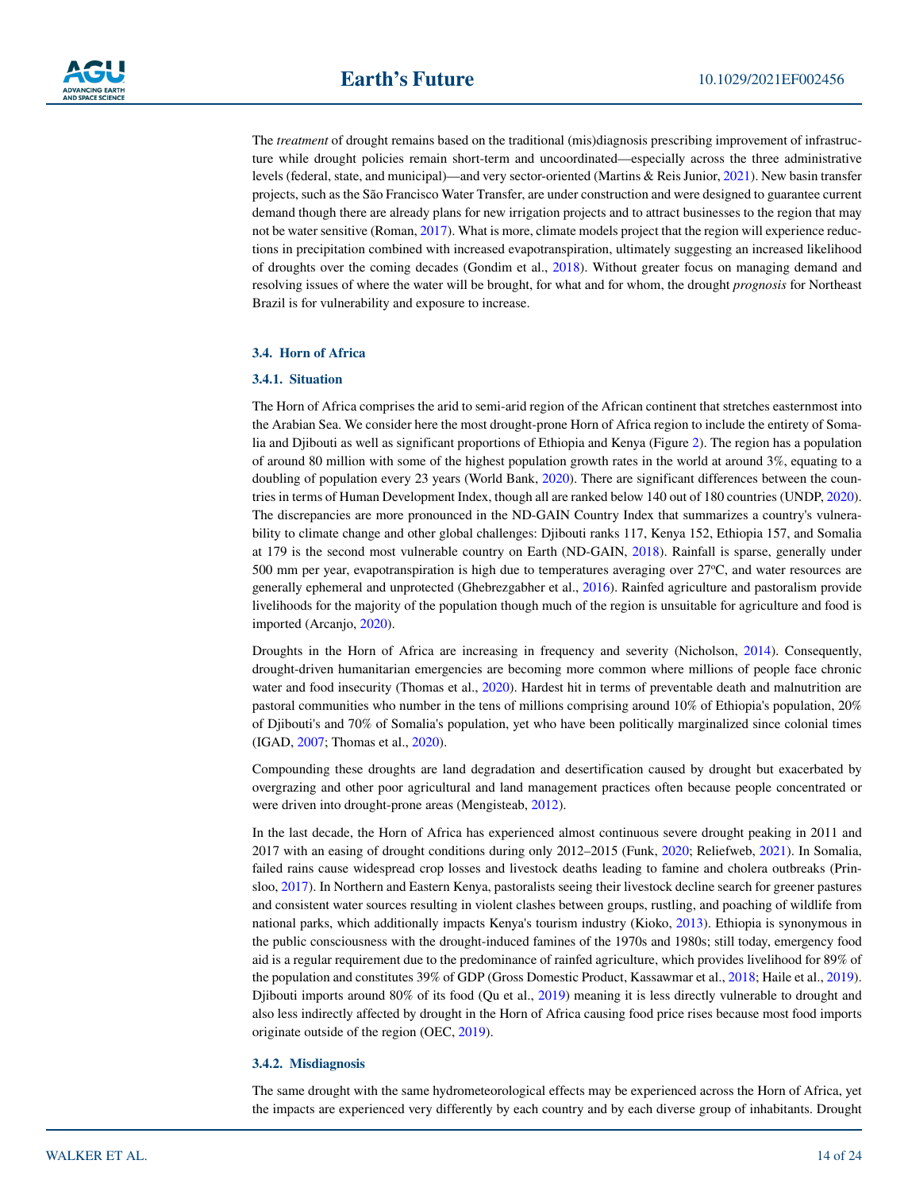The *treatment* of drought remains based on the traditional (mis)diagnosis prescribing improvement of infrastructure while drought policies remain short-term and uncoordinated—especially across the three administrative levels (federal, state, and municipal)—and very sector-oriented (Martins & Reis Junior, [2021\)](#page-21-23). New basin transfer projects, such as the São Francisco Water Transfer, are under construction and were designed to guarantee current demand though there are already plans for new irrigation projects and to attract businesses to the region that may not be water sensitive (Roman, [2017](#page-22-25)). What is more, climate models project that the region will experience reductions in precipitation combined with increased evapotranspiration, ultimately suggesting an increased likelihood of droughts over the coming decades (Gondim et al., [2018\)](#page-20-32). Without greater focus on managing demand and resolving issues of where the water will be brought, for what and for whom, the drought *prognosis* for Northeast Brazil is for vulnerability and exposure to increase.

#### **3.4. Horn of Africa**

#### **3.4.1. Situation**

The Horn of Africa comprises the arid to semi-arid region of the African continent that stretches easternmost into the Arabian Sea. We consider here the most drought-prone Horn of Africa region to include the entirety of Somalia and Djibouti as well as significant proportions of Ethiopia and Kenya (Figure [2\)](#page-7-0). The region has a population of around 80 million with some of the highest population growth rates in the world at around 3%, equating to a doubling of population every 23 years (World Bank, [2020\)](#page-23-28). There are significant differences between the countries in terms of Human Development Index, though all are ranked below 140 out of 180 countries (UNDP, [2020](#page-23-29)). The discrepancies are more pronounced in the ND-GAIN Country Index that summarizes a country's vulnerability to climate change and other global challenges: Djibouti ranks 117, Kenya 152, Ethiopia 157, and Somalia at 179 is the second most vulnerable country on Earth (ND-GAIN, [2018\)](#page-21-30). Rainfall is sparse, generally under 500 mm per year, evapotranspiration is high due to temperatures averaging over  $27^{\circ}$ C, and water resources are generally ephemeral and unprotected (Ghebrezgabher et al., [2016\)](#page-20-33). Rainfed agriculture and pastoralism provide livelihoods for the majority of the population though much of the region is unsuitable for agriculture and food is imported (Arcanjo, [2020](#page-19-13)).

Droughts in the Horn of Africa are increasing in frequency and severity (Nicholson, [2014](#page-21-31)). Consequently, drought-driven humanitarian emergencies are becoming more common where millions of people face chronic water and food insecurity (Thomas et al., [2020](#page-23-30)). Hardest hit in terms of preventable death and malnutrition are pastoral communities who number in the tens of millions comprising around 10% of Ethiopia's population, 20% of Djibouti's and 70% of Somalia's population, yet who have been politically marginalized since colonial times (IGAD, [2007;](#page-21-32) Thomas et al., [2020\)](#page-23-30).

Compounding these droughts are land degradation and desertification caused by drought but exacerbated by overgrazing and other poor agricultural and land management practices often because people concentrated or were driven into drought-prone areas (Mengisteab, [2012\)](#page-21-33).

In the last decade, the Horn of Africa has experienced almost continuous severe drought peaking in 2011 and 2017 with an easing of drought conditions during only 2012–2015 (Funk, [2020](#page-20-34); Reliefweb, [2021\)](#page-22-26). In Somalia, failed rains cause widespread crop losses and livestock deaths leading to famine and cholera outbreaks (Prinsloo, [2017](#page-22-27)). In Northern and Eastern Kenya, pastoralists seeing their livestock decline search for greener pastures and consistent water sources resulting in violent clashes between groups, rustling, and poaching of wildlife from national parks, which additionally impacts Kenya's tourism industry (Kioko, [2013\)](#page-21-34). Ethiopia is synonymous in the public consciousness with the drought-induced famines of the 1970s and 1980s; still today, emergency food aid is a regular requirement due to the predominance of rainfed agriculture, which provides livelihood for 89% of the population and constitutes 39% of GDP (Gross Domestic Product, Kassawmar et al., [2018](#page-21-35); Haile et al., [2019](#page-21-36)). Djibouti imports around 80% of its food (Qu et al., [2019](#page-22-28)) meaning it is less directly vulnerable to drought and also less indirectly affected by drought in the Horn of Africa causing food price rises because most food imports originate outside of the region (OEC, [2019](#page-22-29)).

### **3.4.2. Misdiagnosis**

The same drought with the same hydrometeorological effects may be experienced across the Horn of Africa, yet the impacts are experienced very differently by each country and by each diverse group of inhabitants. Drought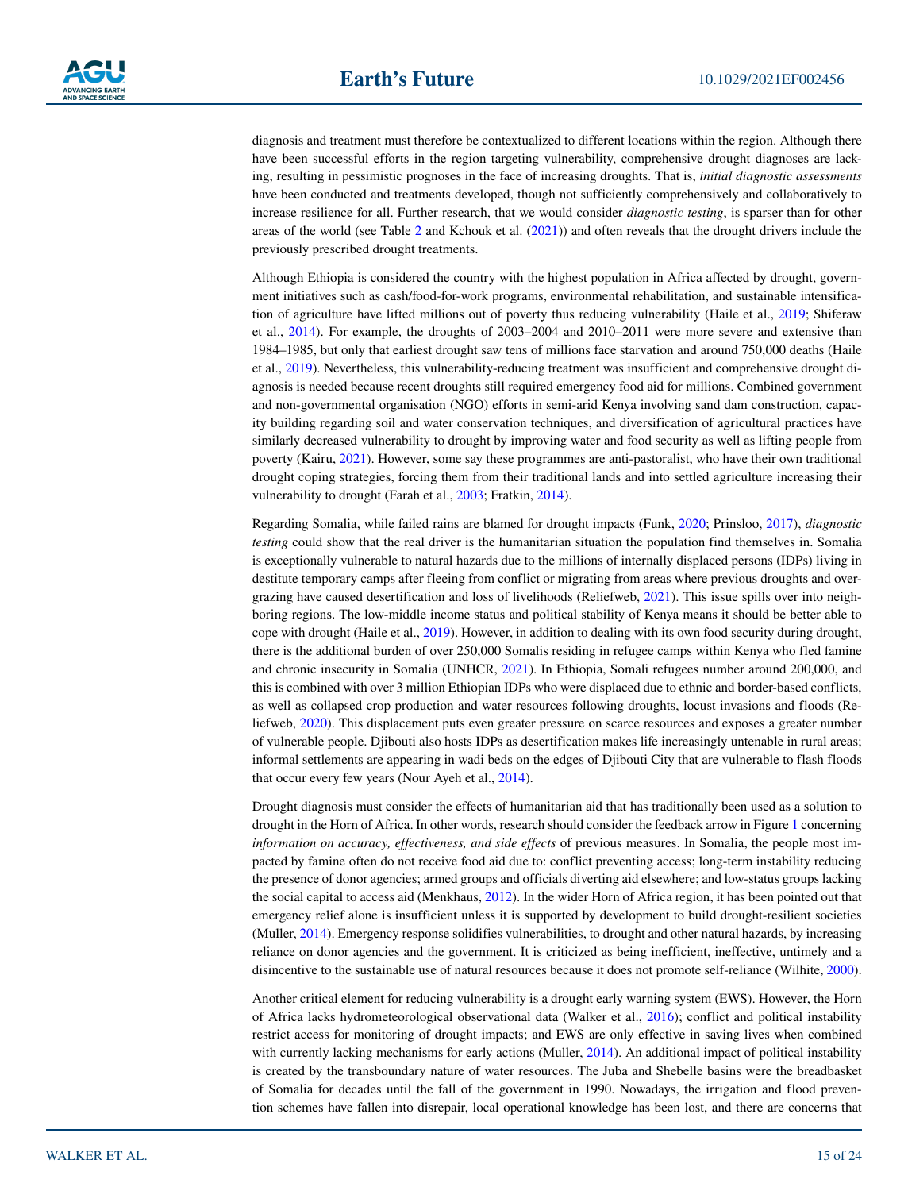diagnosis and treatment must therefore be contextualized to different locations within the region. Although there have been successful efforts in the region targeting vulnerability, comprehensive drought diagnoses are lacking, resulting in pessimistic prognoses in the face of increasing droughts. That is, *initial diagnostic assessments* have been conducted and treatments developed, though not sufficiently comprehensively and collaboratively to increase resilience for all. Further research, that we would consider *diagnostic testing*, is sparser than for other areas of the world (see Table [2](#page-15-0) and Kchouk et al. ([2021\)](#page-21-12)) and often reveals that the drought drivers include the previously prescribed drought treatments.

Although Ethiopia is considered the country with the highest population in Africa affected by drought, government initiatives such as cash/food-for-work programs, environmental rehabilitation, and sustainable intensification of agriculture have lifted millions out of poverty thus reducing vulnerability (Haile et al., [2019](#page-21-36); Shiferaw et al., [2014](#page-22-30)). For example, the droughts of 2003–2004 and 2010–2011 were more severe and extensive than 1984–1985, but only that earliest drought saw tens of millions face starvation and around 750,000 deaths (Haile et al., [2019\)](#page-21-36). Nevertheless, this vulnerability-reducing treatment was insufficient and comprehensive drought diagnosis is needed because recent droughts still required emergency food aid for millions. Combined government and non-governmental organisation (NGO) efforts in semi-arid Kenya involving sand dam construction, capacity building regarding soil and water conservation techniques, and diversification of agricultural practices have similarly decreased vulnerability to drought by improving water and food security as well as lifting people from poverty (Kairu, [2021\)](#page-21-37). However, some say these programmes are anti-pastoralist, who have their own traditional drought coping strategies, forcing them from their traditional lands and into settled agriculture increasing their vulnerability to drought (Farah et al., [2003](#page-20-35); Fratkin, [2014](#page-20-36)).

Regarding Somalia, while failed rains are blamed for drought impacts (Funk, [2020](#page-20-34); Prinsloo, [2017](#page-22-27)), *diagnostic testing* could show that the real driver is the humanitarian situation the population find themselves in. Somalia is exceptionally vulnerable to natural hazards due to the millions of internally displaced persons (IDPs) living in destitute temporary camps after fleeing from conflict or migrating from areas where previous droughts and overgrazing have caused desertification and loss of livelihoods (Reliefweb, [2021](#page-22-26)). This issue spills over into neighboring regions. The low-middle income status and political stability of Kenya means it should be better able to cope with drought (Haile et al., [2019](#page-21-36)). However, in addition to dealing with its own food security during drought, there is the additional burden of over 250,000 Somalis residing in refugee camps within Kenya who fled famine and chronic insecurity in Somalia (UNHCR, [2021](#page-23-31)). In Ethiopia, Somali refugees number around 200,000, and this is combined with over 3 million Ethiopian IDPs who were displaced due to ethnic and border-based conflicts, as well as collapsed crop production and water resources following droughts, locust invasions and floods (Reliefweb, [2020\)](#page-22-31). This displacement puts even greater pressure on scarce resources and exposes a greater number of vulnerable people. Djibouti also hosts IDPs as desertification makes life increasingly untenable in rural areas; informal settlements are appearing in wadi beds on the edges of Djibouti City that are vulnerable to flash floods that occur every few years (Nour Ayeh et al., [2014\)](#page-22-32).

Drought diagnosis must consider the effects of humanitarian aid that has traditionally been used as a solution to drought in the Horn of Africa. In other words, research should consider the feedback arrow in Figure [1](#page-4-0) concerning *information on accuracy, effectiveness, and side effects* of previous measures. In Somalia, the people most impacted by famine often do not receive food aid due to: conflict preventing access; long-term instability reducing the presence of donor agencies; armed groups and officials diverting aid elsewhere; and low-status groups lacking the social capital to access aid (Menkhaus, [2012](#page-21-38)). In the wider Horn of Africa region, it has been pointed out that emergency relief alone is insufficient unless it is supported by development to build drought-resilient societies (Muller, [2014](#page-21-39)). Emergency response solidifies vulnerabilities, to drought and other natural hazards, by increasing reliance on donor agencies and the government. It is criticized as being inefficient, ineffective, untimely and a disincentive to the sustainable use of natural resources because it does not promote self-reliance (Wilhite, [2000](#page-23-5)).

Another critical element for reducing vulnerability is a drought early warning system (EWS). However, the Horn of Africa lacks hydrometeorological observational data (Walker et al., [2016](#page-23-32)); conflict and political instability restrict access for monitoring of drought impacts; and EWS are only effective in saving lives when combined with currently lacking mechanisms for early actions (Muller, [2014](#page-21-39)). An additional impact of political instability is created by the transboundary nature of water resources. The Juba and Shebelle basins were the breadbasket of Somalia for decades until the fall of the government in 1990. Nowadays, the irrigation and flood prevention schemes have fallen into disrepair, local operational knowledge has been lost, and there are concerns that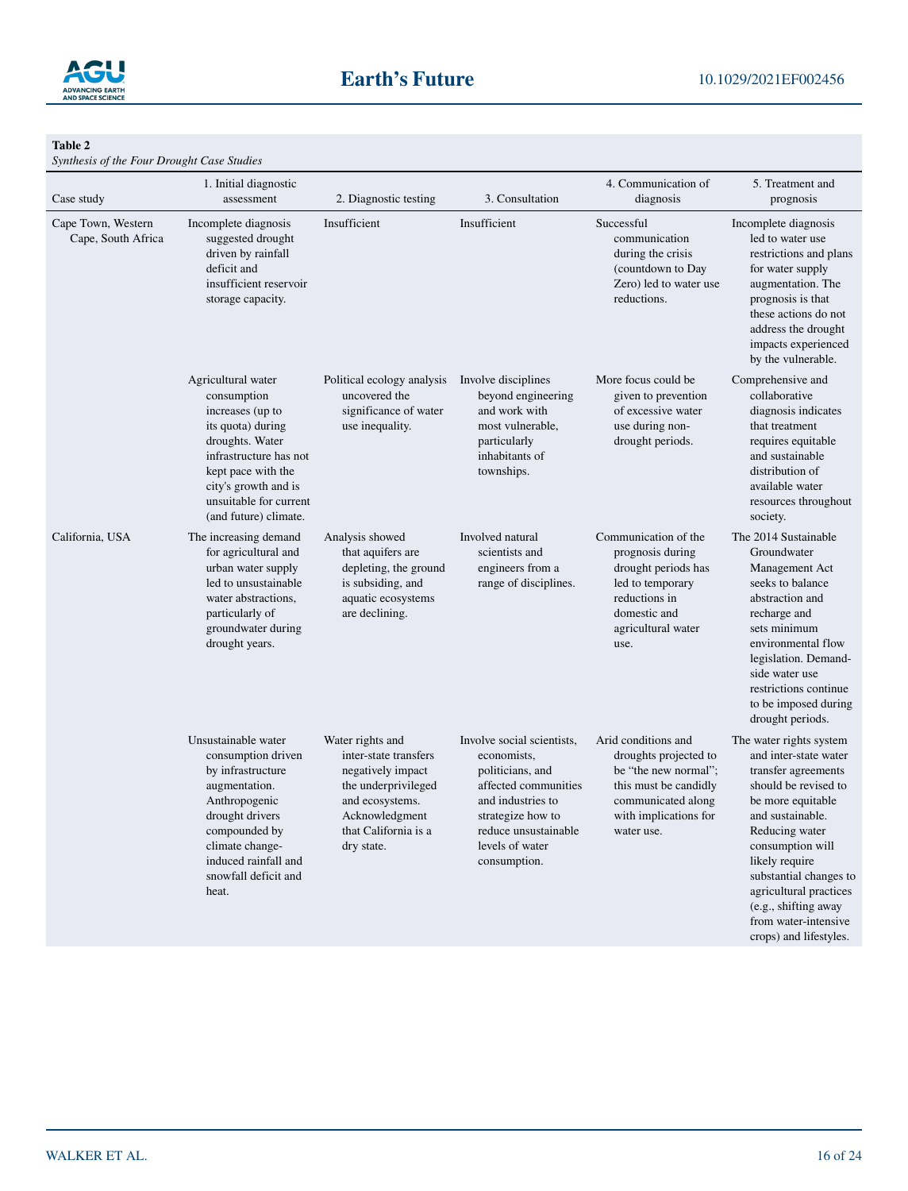

<span id="page-15-0"></span>**Table 2** 

*Synthesis of the Four Drought Case Studies*

| Case study                               | 1. Initial diagnostic<br>assessment                                                                                                                                                                                      | 2. Diagnostic testing                                                                                                                                            | 3. Consultation                                                                                                                                                                            | 4. Communication of<br>diagnosis                                                                                                                           | 5. Treatment and<br>prognosis                                                                                                                                                                                                                                                                                                  |
|------------------------------------------|--------------------------------------------------------------------------------------------------------------------------------------------------------------------------------------------------------------------------|------------------------------------------------------------------------------------------------------------------------------------------------------------------|--------------------------------------------------------------------------------------------------------------------------------------------------------------------------------------------|------------------------------------------------------------------------------------------------------------------------------------------------------------|--------------------------------------------------------------------------------------------------------------------------------------------------------------------------------------------------------------------------------------------------------------------------------------------------------------------------------|
| Cape Town, Western<br>Cape, South Africa | Incomplete diagnosis<br>suggested drought<br>driven by rainfall<br>deficit and<br>insufficient reservoir<br>storage capacity.                                                                                            | Insufficient                                                                                                                                                     | Insufficient                                                                                                                                                                               | Successful<br>communication<br>during the crisis<br>(countdown to Day<br>Zero) led to water use<br>reductions.                                             | Incomplete diagnosis<br>led to water use<br>restrictions and plans<br>for water supply<br>augmentation. The<br>prognosis is that<br>these actions do not<br>address the drought<br>impacts experienced<br>by the vulnerable.                                                                                                   |
|                                          | Agricultural water<br>consumption<br>increases (up to<br>its quota) during<br>droughts. Water<br>infrastructure has not<br>kept pace with the<br>city's growth and is<br>unsuitable for current<br>(and future) climate. | Political ecology analysis<br>uncovered the<br>significance of water<br>use inequality.                                                                          | Involve disciplines<br>beyond engineering<br>and work with<br>most vulnerable,<br>particularly<br>inhabitants of<br>townships.                                                             | More focus could be<br>given to prevention<br>of excessive water<br>use during non-<br>drought periods.                                                    | Comprehensive and<br>collaborative<br>diagnosis indicates<br>that treatment<br>requires equitable<br>and sustainable<br>distribution of<br>available water<br>resources throughout<br>society.                                                                                                                                 |
| California, USA                          | The increasing demand<br>for agricultural and<br>urban water supply<br>led to unsustainable<br>water abstractions,<br>particularly of<br>groundwater during<br>drought years.                                            | Analysis showed<br>that aquifers are<br>depleting, the ground<br>is subsiding, and<br>aquatic ecosystems<br>are declining.                                       | Involved natural<br>scientists and<br>engineers from a<br>range of disciplines.                                                                                                            | Communication of the<br>prognosis during<br>drought periods has<br>led to temporary<br>reductions in<br>domestic and<br>agricultural water<br>use.         | The 2014 Sustainable<br>Groundwater<br>Management Act<br>seeks to balance<br>abstraction and<br>recharge and<br>sets minimum<br>environmental flow<br>legislation. Demand-<br>side water use<br>restrictions continue<br>to be imposed during<br>drought periods.                                                              |
|                                          | Unsustainable water<br>consumption driven<br>by infrastructure<br>augmentation.<br>Anthropogenic<br>drought drivers<br>compounded by<br>climate change-<br>induced rainfall and<br>snowfall deficit and<br>heat.         | Water rights and<br>inter-state transfers<br>negatively impact<br>the underprivileged<br>and ecosystems.<br>Acknowledgment<br>that California is a<br>dry state. | Involve social scientists,<br>economists,<br>politicians, and<br>affected communities<br>and industries to<br>strategize how to<br>reduce unsustainable<br>levels of water<br>consumption. | Arid conditions and<br>droughts projected to<br>be "the new normal";<br>this must be candidly<br>communicated along<br>with implications for<br>water use. | The water rights system<br>and inter-state water<br>transfer agreements<br>should be revised to<br>be more equitable<br>and sustainable.<br>Reducing water<br>consumption will<br>likely require<br>substantial changes to<br>agricultural practices<br>(e.g., shifting away<br>from water-intensive<br>crops) and lifestyles. |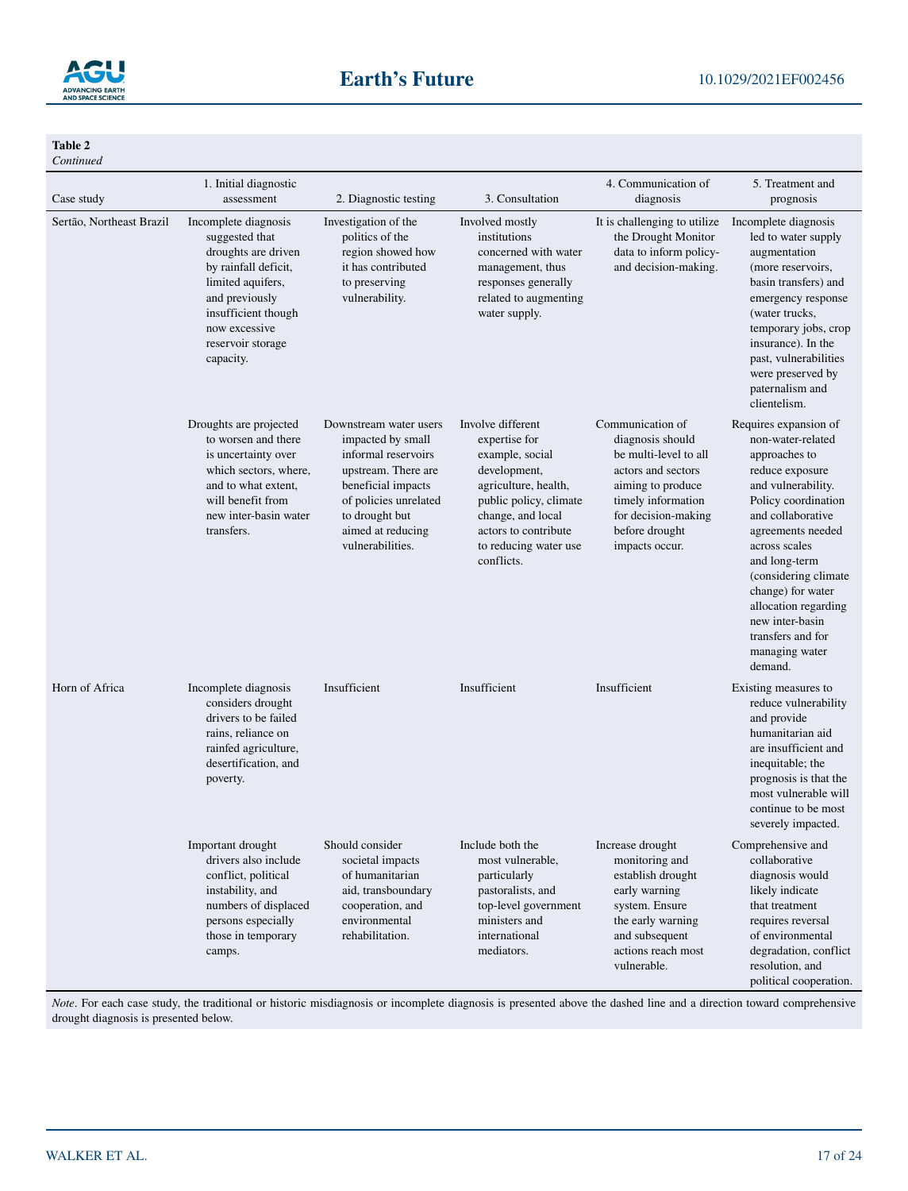

**Table 2**

| Continued                |                                                                                                                                                                                                        |                                                                                                                                                                                                     |                                                                                                                                                                                                             |                                                                                                                                                                                           |                                                                                                                                                                                                                                                                                                                                                   |
|--------------------------|--------------------------------------------------------------------------------------------------------------------------------------------------------------------------------------------------------|-----------------------------------------------------------------------------------------------------------------------------------------------------------------------------------------------------|-------------------------------------------------------------------------------------------------------------------------------------------------------------------------------------------------------------|-------------------------------------------------------------------------------------------------------------------------------------------------------------------------------------------|---------------------------------------------------------------------------------------------------------------------------------------------------------------------------------------------------------------------------------------------------------------------------------------------------------------------------------------------------|
| Case study               | 1. Initial diagnostic<br>assessment                                                                                                                                                                    | 2. Diagnostic testing                                                                                                                                                                               | 3. Consultation                                                                                                                                                                                             | 4. Communication of<br>diagnosis                                                                                                                                                          | 5. Treatment and<br>prognosis                                                                                                                                                                                                                                                                                                                     |
| Sertão, Northeast Brazil | Incomplete diagnosis<br>suggested that<br>droughts are driven<br>by rainfall deficit,<br>limited aquifers,<br>and previously<br>insufficient though<br>now excessive<br>reservoir storage<br>capacity. | Investigation of the<br>politics of the<br>region showed how<br>it has contributed<br>to preserving<br>vulnerability.                                                                               | Involved mostly<br>institutions<br>concerned with water<br>management, thus<br>responses generally<br>related to augmenting<br>water supply.                                                                | It is challenging to utilize<br>the Drought Monitor<br>data to inform policy-<br>and decision-making.                                                                                     | Incomplete diagnosis<br>led to water supply<br>augmentation<br>(more reservoirs,<br>basin transfers) and<br>emergency response<br>(water trucks,<br>temporary jobs, crop<br>insurance). In the<br>past, vulnerabilities<br>were preserved by<br>paternalism and<br>clientelism.                                                                   |
|                          | Droughts are projected<br>to worsen and there<br>is uncertainty over<br>which sectors, where,<br>and to what extent.<br>will benefit from<br>new inter-basin water<br>transfers.                       | Downstream water users<br>impacted by small<br>informal reservoirs<br>upstream. There are<br>beneficial impacts<br>of policies unrelated<br>to drought but<br>aimed at reducing<br>vulnerabilities. | Involve different<br>expertise for<br>example, social<br>development,<br>agriculture, health,<br>public policy, climate<br>change, and local<br>actors to contribute<br>to reducing water use<br>conflicts. | Communication of<br>diagnosis should<br>be multi-level to all<br>actors and sectors<br>aiming to produce<br>timely information<br>for decision-making<br>before drought<br>impacts occur. | Requires expansion of<br>non-water-related<br>approaches to<br>reduce exposure<br>and vulnerability.<br>Policy coordination<br>and collaborative<br>agreements needed<br>across scales<br>and long-term<br>(considering climate<br>change) for water<br>allocation regarding<br>new inter-basin<br>transfers and for<br>managing water<br>demand. |
| Horn of Africa           | Incomplete diagnosis<br>considers drought<br>drivers to be failed<br>rains, reliance on<br>rainfed agriculture,<br>desertification, and<br>poverty.                                                    | Insufficient                                                                                                                                                                                        | Insufficient                                                                                                                                                                                                | Insufficient                                                                                                                                                                              | Existing measures to<br>reduce vulnerability<br>and provide<br>humanitarian aid<br>are insufficient and<br>inequitable; the<br>prognosis is that the<br>most vulnerable will<br>continue to be most<br>severely impacted.                                                                                                                         |
|                          | Important drought<br>drivers also include<br>conflict, political<br>instability, and<br>numbers of displaced<br>persons especially<br>those in temporary<br>camps.                                     | Should consider<br>societal impacts<br>of humanitarian<br>aid, transboundary<br>cooperation, and<br>environmental<br>rehabilitation.                                                                | Include both the<br>most vulnerable,<br>particularly<br>pastoralists, and<br>top-level government<br>ministers and<br>international<br>mediators.                                                           | Increase drought<br>monitoring and<br>establish drought<br>early warning<br>system. Ensure<br>the early warning<br>and subsequent<br>actions reach most<br>vulnerable.                    | Comprehensive and<br>collaborative<br>diagnosis would<br>likely indicate<br>that treatment<br>requires reversal<br>of environmental<br>degradation, conflict<br>resolution, and<br>political cooperation.                                                                                                                                         |

*Note*. For each case study, the traditional or historic misdiagnosis or incomplete diagnosis is presented above the dashed line and a direction toward comprehensive drought diagnosis is presented below.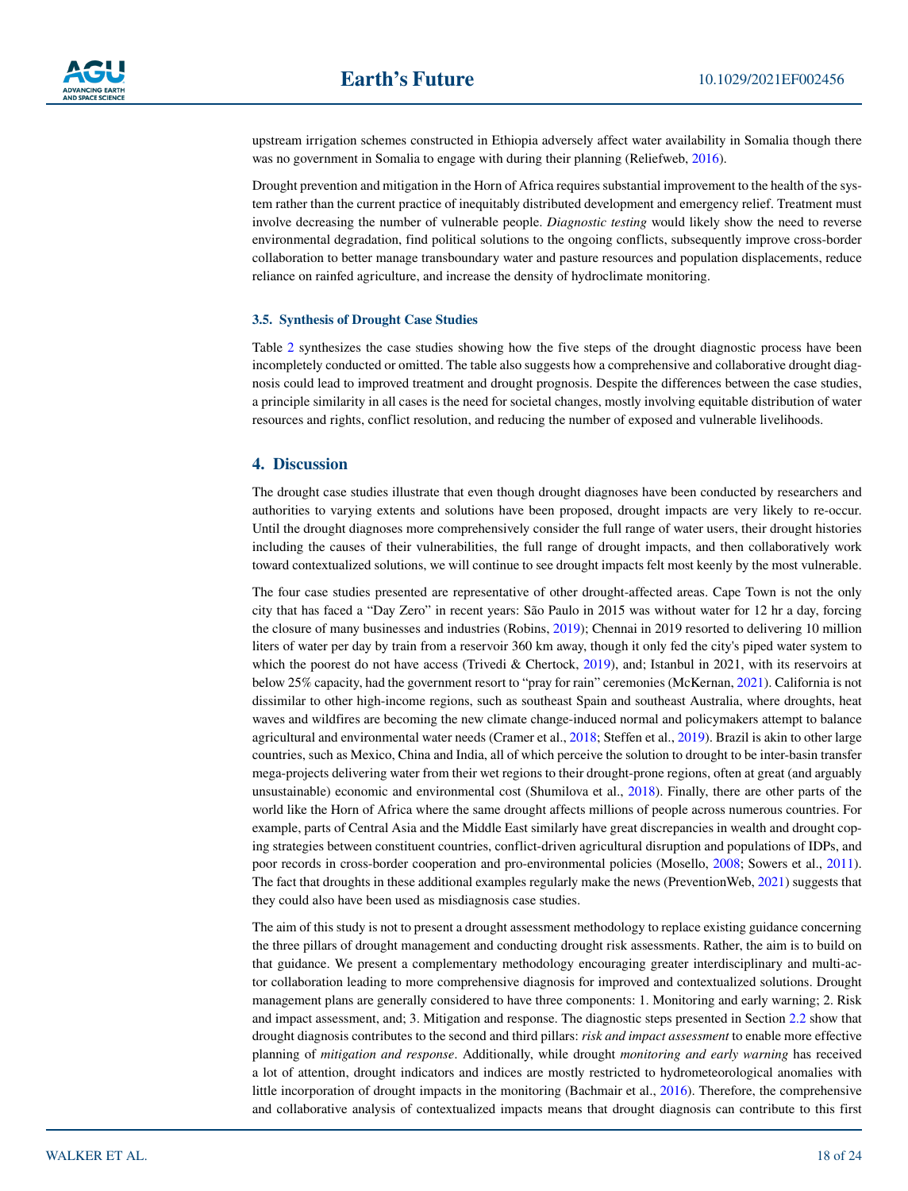

upstream irrigation schemes constructed in Ethiopia adversely affect water availability in Somalia though there was no government in Somalia to engage with during their planning (Reliefweb, [2016\)](#page-22-33).

Drought prevention and mitigation in the Horn of Africa requires substantial improvement to the health of the system rather than the current practice of inequitably distributed development and emergency relief. Treatment must involve decreasing the number of vulnerable people. *Diagnostic testing* would likely show the need to reverse environmental degradation, find political solutions to the ongoing conflicts, subsequently improve cross-border collaboration to better manage transboundary water and pasture resources and population displacements, reduce reliance on rainfed agriculture, and increase the density of hydroclimate monitoring.

#### **3.5. Synthesis of Drought Case Studies**

Table [2](#page-15-0) synthesizes the case studies showing how the five steps of the drought diagnostic process have been incompletely conducted or omitted. The table also suggests how a comprehensive and collaborative drought diagnosis could lead to improved treatment and drought prognosis. Despite the differences between the case studies, a principle similarity in all cases is the need for societal changes, mostly involving equitable distribution of water resources and rights, conflict resolution, and reducing the number of exposed and vulnerable livelihoods.

# <span id="page-17-0"></span>**4. Discussion**

The drought case studies illustrate that even though drought diagnoses have been conducted by researchers and authorities to varying extents and solutions have been proposed, drought impacts are very likely to re-occur. Until the drought diagnoses more comprehensively consider the full range of water users, their drought histories including the causes of their vulnerabilities, the full range of drought impacts, and then collaboratively work toward contextualized solutions, we will continue to see drought impacts felt most keenly by the most vulnerable.

The four case studies presented are representative of other drought-affected areas. Cape Town is not the only city that has faced a "Day Zero" in recent years: São Paulo in 2015 was without water for 12 hr a day, forcing the closure of many businesses and industries (Robins, [2019](#page-22-6)); Chennai in 2019 resorted to delivering 10 million liters of water per day by train from a reservoir 360 km away, though it only fed the city's piped water system to which the poorest do not have access (Trivedi & Chertock, [2019](#page-23-33)), and; Istanbul in 2021, with its reservoirs at below 25% capacity, had the government resort to "pray for rain" ceremonies (McKernan, [2021\)](#page-21-40). California is not dissimilar to other high-income regions, such as southeast Spain and southeast Australia, where droughts, heat waves and wildfires are becoming the new climate change-induced normal and policymakers attempt to balance agricultural and environmental water needs (Cramer et al., [2018](#page-20-37); Steffen et al., [2019\)](#page-22-34). Brazil is akin to other large countries, such as Mexico, China and India, all of which perceive the solution to drought to be inter-basin transfer mega-projects delivering water from their wet regions to their drought-prone regions, often at great (and arguably unsustainable) economic and environmental cost (Shumilova et al., [2018\)](#page-22-35). Finally, there are other parts of the world like the Horn of Africa where the same drought affects millions of people across numerous countries. For example, parts of Central Asia and the Middle East similarly have great discrepancies in wealth and drought coping strategies between constituent countries, conflict-driven agricultural disruption and populations of IDPs, and poor records in cross-border cooperation and pro-environmental policies (Mosello, [2008;](#page-21-41) Sowers et al., [2011](#page-22-36)). The fact that droughts in these additional examples regularly make the news (PreventionWeb, [2021\)](#page-22-37) suggests that they could also have been used as misdiagnosis case studies.

The aim of this study is not to present a drought assessment methodology to replace existing guidance concerning the three pillars of drought management and conducting drought risk assessments. Rather, the aim is to build on that guidance. We present a complementary methodology encouraging greater interdisciplinary and multi-actor collaboration leading to more comprehensive diagnosis for improved and contextualized solutions. Drought management plans are generally considered to have three components: 1. Monitoring and early warning; 2. Risk and impact assessment, and; 3. Mitigation and response. The diagnostic steps presented in Section [2.2](#page-4-1) show that drought diagnosis contributes to the second and third pillars: *risk and impact assessment* to enable more effective planning of *mitigation and response*. Additionally, while drought *monitoring and early warning* has received a lot of attention, drought indicators and indices are mostly restricted to hydrometeorological anomalies with little incorporation of drought impacts in the monitoring (Bachmair et al., [2016\)](#page-19-14). Therefore, the comprehensive and collaborative analysis of contextualized impacts means that drought diagnosis can contribute to this first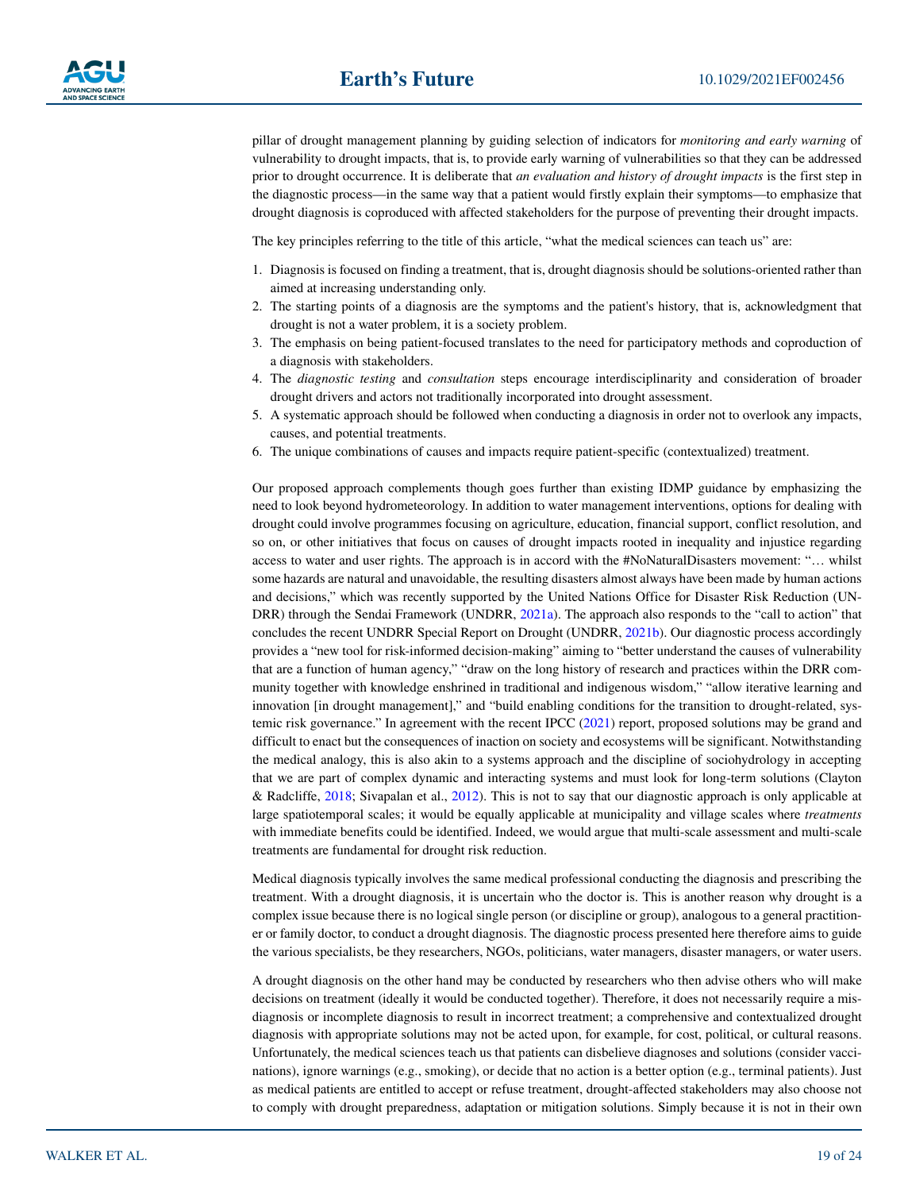pillar of drought management planning by guiding selection of indicators for *monitoring and early warning* of vulnerability to drought impacts, that is, to provide early warning of vulnerabilities so that they can be addressed prior to drought occurrence. It is deliberate that *an evaluation and history of drought impacts* is the first step in the diagnostic process—in the same way that a patient would firstly explain their symptoms—to emphasize that drought diagnosis is coproduced with affected stakeholders for the purpose of preventing their drought impacts.

The key principles referring to the title of this article, "what the medical sciences can teach us" are:

- 1. Diagnosis is focused on finding a treatment, that is, drought diagnosis should be solutions-oriented rather than aimed at increasing understanding only.
- 2. The starting points of a diagnosis are the symptoms and the patient's history, that is, acknowledgment that drought is not a water problem, it is a society problem.
- 3. The emphasis on being patient-focused translates to the need for participatory methods and coproduction of a diagnosis with stakeholders.
- 4. The *diagnostic testing* and *consultation* steps encourage interdisciplinarity and consideration of broader drought drivers and actors not traditionally incorporated into drought assessment.
- 5. A systematic approach should be followed when conducting a diagnosis in order not to overlook any impacts, causes, and potential treatments.
- 6. The unique combinations of causes and impacts require patient-specific (contextualized) treatment.

Our proposed approach complements though goes further than existing IDMP guidance by emphasizing the need to look beyond hydrometeorology. In addition to water management interventions, options for dealing with drought could involve programmes focusing on agriculture, education, financial support, conflict resolution, and so on, or other initiatives that focus on causes of drought impacts rooted in inequality and injustice regarding access to water and user rights. The approach is in accord with the #NoNaturalDisasters movement: "… whilst some hazards are natural and unavoidable, the resulting disasters almost always have been made by human actions and decisions," which was recently supported by the United Nations Office for Disaster Risk Reduction (UN-DRR) through the Sendai Framework (UNDRR, [2021a](#page-23-34)). The approach also responds to the "call to action" that concludes the recent UNDRR Special Report on Drought (UNDRR, [2021b](#page-23-35)). Our diagnostic process accordingly provides a "new tool for risk-informed decision-making" aiming to "better understand the causes of vulnerability that are a function of human agency," "draw on the long history of research and practices within the DRR community together with knowledge enshrined in traditional and indigenous wisdom," "allow iterative learning and innovation [in drought management]," and "build enabling conditions for the transition to drought-related, systemic risk governance." In agreement with the recent IPCC [\(2021](#page-21-0)) report, proposed solutions may be grand and difficult to enact but the consequences of inaction on society and ecosystems will be significant. Notwithstanding the medical analogy, this is also akin to a systems approach and the discipline of sociohydrology in accepting that we are part of complex dynamic and interacting systems and must look for long-term solutions (Clayton & Radcliffe, [2018;](#page-20-38) Sivapalan et al., [2012](#page-22-38)). This is not to say that our diagnostic approach is only applicable at large spatiotemporal scales; it would be equally applicable at municipality and village scales where *treatments* with immediate benefits could be identified. Indeed, we would argue that multi-scale assessment and multi-scale treatments are fundamental for drought risk reduction.

Medical diagnosis typically involves the same medical professional conducting the diagnosis and prescribing the treatment. With a drought diagnosis, it is uncertain who the doctor is. This is another reason why drought is a complex issue because there is no logical single person (or discipline or group), analogous to a general practitioner or family doctor, to conduct a drought diagnosis. The diagnostic process presented here therefore aims to guide the various specialists, be they researchers, NGOs, politicians, water managers, disaster managers, or water users.

A drought diagnosis on the other hand may be conducted by researchers who then advise others who will make decisions on treatment (ideally it would be conducted together). Therefore, it does not necessarily require a misdiagnosis or incomplete diagnosis to result in incorrect treatment; a comprehensive and contextualized drought diagnosis with appropriate solutions may not be acted upon, for example, for cost, political, or cultural reasons. Unfortunately, the medical sciences teach us that patients can disbelieve diagnoses and solutions (consider vaccinations), ignore warnings (e.g., smoking), or decide that no action is a better option (e.g., terminal patients). Just as medical patients are entitled to accept or refuse treatment, drought-affected stakeholders may also choose not to comply with drought preparedness, adaptation or mitigation solutions. Simply because it is not in their own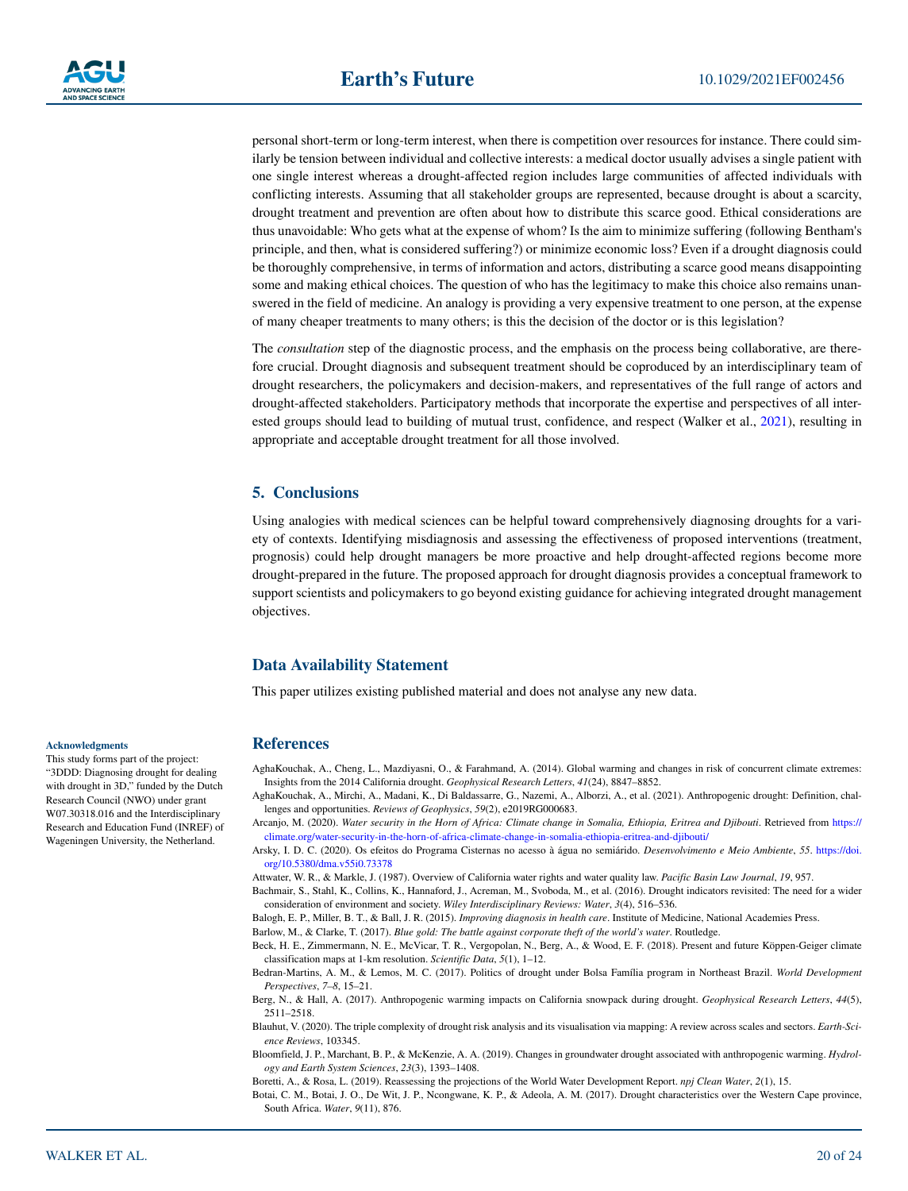personal short-term or long-term interest, when there is competition over resources for instance. There could similarly be tension between individual and collective interests: a medical doctor usually advises a single patient with one single interest whereas a drought-affected region includes large communities of affected individuals with conflicting interests. Assuming that all stakeholder groups are represented, because drought is about a scarcity, drought treatment and prevention are often about how to distribute this scarce good. Ethical considerations are thus unavoidable: Who gets what at the expense of whom? Is the aim to minimize suffering (following Bentham's principle, and then, what is considered suffering?) or minimize economic loss? Even if a drought diagnosis could be thoroughly comprehensive, in terms of information and actors, distributing a scarce good means disappointing some and making ethical choices. The question of who has the legitimacy to make this choice also remains unanswered in the field of medicine. An analogy is providing a very expensive treatment to one person, at the expense of many cheaper treatments to many others; is this the decision of the doctor or is this legislation?

The *consultation* step of the diagnostic process, and the emphasis on the process being collaborative, are therefore crucial. Drought diagnosis and subsequent treatment should be coproduced by an interdisciplinary team of drought researchers, the policymakers and decision-makers, and representatives of the full range of actors and drought-affected stakeholders. Participatory methods that incorporate the expertise and perspectives of all inter-ested groups should lead to building of mutual trust, confidence, and respect (Walker et al., [2021](#page-23-36)), resulting in appropriate and acceptable drought treatment for all those involved.

# **5. Conclusions**

Using analogies with medical sciences can be helpful toward comprehensively diagnosing droughts for a variety of contexts. Identifying misdiagnosis and assessing the effectiveness of proposed interventions (treatment, prognosis) could help drought managers be more proactive and help drought-affected regions become more drought-prepared in the future. The proposed approach for drought diagnosis provides a conceptual framework to support scientists and policymakers to go beyond existing guidance for achieving integrated drought management objectives.

# **Data Availability Statement**

This paper utilizes existing published material and does not analyse any new data.

#### **References**

- <span id="page-19-7"></span>AghaKouchak, A., Cheng, L., Mazdiyasni, O., & Farahmand, A. (2014). Global warming and changes in risk of concurrent climate extremes: Insights from the 2014 California drought. *Geophysical Research Letters*, *41*(24), 8847–8852.
- <span id="page-19-2"></span>AghaKouchak, A., Mirchi, A., Madani, K., Di Baldassarre, G., Nazemi, A., Alborzi, A., et al. (2021). Anthropogenic drought: Definition, challenges and opportunities. *Reviews of Geophysics*, *59*(2), e2019RG000683.
- <span id="page-19-13"></span>Arcanjo, M. (2020). *Water security in the Horn of Africa: Climate change in Somalia, Ethiopia, Eritrea and Djibouti*. Retrieved from [https://](https://climate.org/water-security-in-the-horn-of-africa-climate-change-in-somalia-ethiopia-eritrea-and-djibouti/) [climate.org/water-security-in-the-horn-of-africa-climate-change-in-somalia-ethiopia-eritrea-and-djibouti/](https://climate.org/water-security-in-the-horn-of-africa-climate-change-in-somalia-ethiopia-eritrea-and-djibouti/)
- <span id="page-19-12"></span>Arsky, I. D. C. (2020). Os efeitos do Programa Cisternas no acesso à água no semiárido. *Desenvolvimento e Meio Ambiente*, *55*. [https://doi.](https://doi.org/10.5380/dma.v55i0.73378) [org/10.5380/dma.v55i0.73378](https://doi.org/10.5380/dma.v55i0.73378)

<span id="page-19-9"></span>Attwater, W. R., & Markle, J. (1987). Overview of California water rights and water quality law. *Pacific Basin Law Journal*, *19*, 957.

<span id="page-19-14"></span>Bachmair, S., Stahl, K., Collins, K., Hannaford, J., Acreman, M., Svoboda, M., et al. (2016). Drought indicators revisited: The need for a wider consideration of environment and society. *Wiley Interdisciplinary Reviews: Water*, *3*(4), 516–536.

<span id="page-19-4"></span>Balogh, E. P., Miller, B. T., & Ball, J. R. (2015). *Improving diagnosis in health care*. Institute of Medicine, National Academies Press.

<span id="page-19-10"></span>Barlow, M., & Clarke, T. (2017). *Blue gold: The battle against corporate theft of the world's water*. Routledge.

<span id="page-19-6"></span>Beck, H. E., Zimmermann, N. E., McVicar, T. R., Vergopolan, N., Berg, A., & Wood, E. F. (2018). Present and future Köppen-Geiger climate classification maps at 1-km resolution. *Scientific Data*, *5*(1), 1–12.

<span id="page-19-11"></span>Bedran-Martins, A. M., & Lemos, M. C. (2017). Politics of drought under Bolsa Família program in Northeast Brazil. *World Development Perspectives*, *7–8*, 15–21.

<span id="page-19-8"></span>Berg, N., & Hall, A. (2017). Anthropogenic warming impacts on California snowpack during drought. *Geophysical Research Letters*, *44*(5), 2511–2518.

<span id="page-19-3"></span>Blauhut, V. (2020). The triple complexity of drought risk analysis and its visualisation via mapping: A review across scales and sectors. *Earth-Science Reviews*, 103345.

<span id="page-19-0"></span>Bloomfield, J. P., Marchant, B. P., & McKenzie, A. A. (2019). Changes in groundwater drought associated with anthropogenic warming. *Hydrology and Earth System Sciences*, *23*(3), 1393–1408.

<span id="page-19-1"></span>Boretti, A., & Rosa, L. (2019). Reassessing the projections of the World Water Development Report. *npj Clean Water*, *2*(1), 15.

<span id="page-19-5"></span>Botai, C. M., Botai, J. O., De Wit, J. P., Ncongwane, K. P., & Adeola, A. M. (2017). Drought characteristics over the Western Cape province, South Africa. *Water*, *9*(11), 876.

#### **Acknowledgments**

This study forms part of the project: "3DDD: Diagnosing drought for dealing with drought in 3D," funded by the Dutch Research Council (NWO) under grant W07.30318.016 and the Interdisciplinary Research and Education Fund (INREF) of Wageningen University, the Netherland.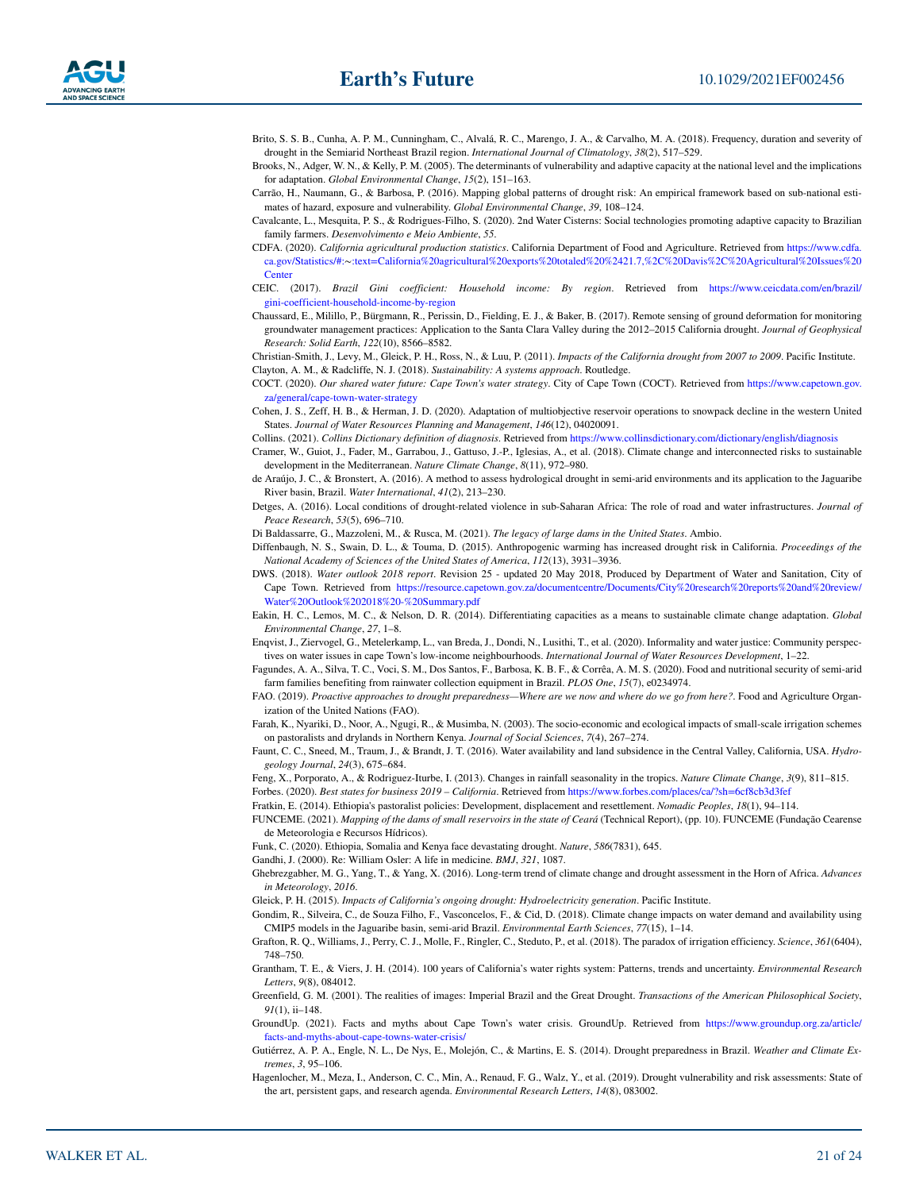- <span id="page-20-26"></span>Brito, S. S. B., Cunha, A. P. M., Cunningham, C., Alvalá, R. C., Marengo, J. A., & Carvalho, M. A. (2018). Frequency, duration and severity of drought in the Semiarid Northeast Brazil region. *International Journal of Climatology*, *38*(2), 517–529.
- <span id="page-20-7"></span>Brooks, N., Adger, W. N., & Kelly, P. M. (2005). The determinants of vulnerability and adaptive capacity at the national level and the implications for adaptation. *Global Environmental Change*, *15*(2), 151–163.
- <span id="page-20-1"></span>Carrão, H., Naumann, G., & Barbosa, P. (2016). Mapping global patterns of drought risk: An empirical framework based on sub-national estimates of hazard, exposure and vulnerability. *Global Environmental Change*, *39*, 108–124.
- <span id="page-20-31"></span>Cavalcante, L., Mesquita, P. S., & Rodrigues-Filho, S. (2020). 2nd Water Cisterns: Social technologies promoting adaptive capacity to Brazilian family farmers. *Desenvolvimento e Meio Ambiente*, *55*.
- <span id="page-20-15"></span>CDFA. (2020). *California agricultural production statistics*. California Department of Food and Agriculture. Retrieved from [https://www.cdfa.](https://www.cdfa.ca.gov/Statistics/) [ca.gov/Statistics/#:](https://www.cdfa.ca.gov/Statistics/)∼:text=California%20agricultural%20exports%20totaled%20%2421.7,%2C%20Davis%2C%20Agricultural%20Issues%20 **Center**
- <span id="page-20-13"></span>CEIC. (2017). *Brazil Gini coefficient: Household income: By region*. Retrieved from [https://www.ceicdata.com/en/brazil/](https://www.ceicdata.com/en/brazil/gini-coefficient-household-income-by-region) [gini-coefficient-household-income-by-region](https://www.ceicdata.com/en/brazil/gini-coefficient-household-income-by-region)
- <span id="page-20-18"></span>Chaussard, E., Milillo, P., Bürgmann, R., Perissin, D., Fielding, E. J., & Baker, B. (2017). Remote sensing of ground deformation for monitoring groundwater management practices: Application to the Santa Clara Valley during the 2012–2015 California drought. *Journal of Geophysical Research: Solid Earth*, *122*(10), 8566–8582.

<span id="page-20-38"></span><span id="page-20-20"></span>Christian-Smith, J., Levy, M., Gleick, P. H., Ross, N., & Luu, P. (2011). *Impacts of the California drought from 2007 to 2009*. Pacific Institute. Clayton, A. M., & Radcliffe, N. J. (2018). *Sustainability: A systems approach*. Routledge.

<span id="page-20-11"></span>COCT. (2020). *Our shared water future: Cape Town's water strategy*. City of Cape Town (COCT). Retrieved from [https://www.capetown.gov.](https://www.capetown.gov.za/general/cape-town-water-strategy) [za/general/cape-town-water-strategy](https://www.capetown.gov.za/general/cape-town-water-strategy)

<span id="page-20-17"></span>Cohen, J. S., Zeff, H. B., & Herman, J. D. (2020). Adaptation of multiobjective reservoir operations to snowpack decline in the western United States. *Journal of Water Resources Planning and Management*, *146*(12), 04020091.

<span id="page-20-5"></span>Collins. (2021). *Collins Dictionary definition of diagnosis*. Retrieved from<https://www.collinsdictionary.com/dictionary/english/diagnosis>

- <span id="page-20-37"></span>Cramer, W., Guiot, J., Fader, M., Garrabou, J., Gattuso, J.-P., Iglesias, A., et al. (2018). Climate change and interconnected risks to sustainable development in the Mediterranean. *Nature Climate Change*, *8*(11), 972–980.
- <span id="page-20-29"></span>de Araújo, J. C., & Bronstert, A. (2016). A method to assess hydrological drought in semi-arid environments and its application to the Jaguaribe River basin, Brazil. *Water International*, *41*(2), 213–230.
- <span id="page-20-8"></span>Detges, A. (2016). Local conditions of drought-related violence in sub-Saharan Africa: The role of road and water infrastructures. *Journal of Peace Research*, *53*(5), 696–710.

<span id="page-20-22"></span>Di Baldassarre, G., Mazzoleni, M., & Rusca, M. (2021). *The legacy of large dams in the United States*. Ambio.

<span id="page-20-16"></span>Diffenbaugh, N. S., Swain, D. L., & Touma, D. (2015). Anthropogenic warming has increased drought risk in California. *Proceedings of the National Academy of Sciences of the United States of America*, *112*(13), 3931–3936.

<span id="page-20-9"></span>DWS. (2018). *Water outlook 2018 report*. Revision 25 - updated 20 May 2018, Produced by Department of Water and Sanitation, City of Cape Town. Retrieved from [https://resource.capetown.gov.za/documentcentre/Documents/City%20research%20reports%20and%20review/](https://resource.capetown.gov.za/documentcentre/Documents/City%20research%20reports%20and%20review/Water%20Outlook%202018%20-%20Summary.pdf) [Water%20Outlook%202018%20-%20Summary.pdf](https://resource.capetown.gov.za/documentcentre/Documents/City%20research%20reports%20and%20review/Water%20Outlook%202018%20-%20Summary.pdf)

<span id="page-20-27"></span>Eakin, H. C., Lemos, M. C., & Nelson, D. R. (2014). Differentiating capacities as a means to sustainable climate change adaptation. *Global Environmental Change*, *27*, 1–8.

- <span id="page-20-12"></span>Enqvist, J., Ziervogel, G., Metelerkamp, L., van Breda, J., Dondi, N., Lusithi, T., et al. (2020). Informality and water justice: Community perspectives on water issues in cape Town's low-income neighbourhoods. *International Journal of Water Resources Development*, 1–22.
- <span id="page-20-30"></span>Fagundes, A. A., Silva, T. C., Voci, S. M., Dos Santos, F., Barbosa, K. B. F., & Corrêa, A. M. S. (2020). Food and nutritional security of semi-arid farm families benefiting from rainwater collection equipment in Brazil. *PLOS One*, *15*(7), e0234974.
- <span id="page-20-2"></span>FAO. (2019). *Proactive approaches to drought preparedness—Where are we now and where do we go from here?*. Food and Agriculture Organization of the United Nations (FAO).
- <span id="page-20-35"></span>Farah, K., Nyariki, D., Noor, A., Ngugi, R., & Musimba, N. (2003). The socio-economic and ecological impacts of small-scale irrigation schemes on pastoralists and drylands in Northern Kenya. *Journal of Social Sciences*, *7*(4), 267–274.

<span id="page-20-19"></span>Faunt, C. C., Sneed, M., Traum, J., & Brandt, J. T. (2016). Water availability and land subsidence in the Central Valley, California, USA. *Hydrogeology Journal*, *24*(3), 675–684.

<span id="page-20-14"></span><span id="page-20-0"></span>Feng, X., Porporato, A., & Rodriguez-Iturbe, I. (2013). Changes in rainfall seasonality in the tropics. *Nature Climate Change*, *3*(9), 811–815. Forbes. (2020). *Best states for business 2019 – California*. Retrieved from <https://www.forbes.com/places/ca/?sh=6cf8cb3d3fef>

<span id="page-20-36"></span>Fratkin, E. (2014). Ethiopia's pastoralist policies: Development, displacement and resettlement. *Nomadic Peoples*, *18*(1), 94–114.

<span id="page-20-28"></span>FUNCEME. (2021). *Mapping of the dams of small reservoirs in the state of Ceará* (Technical Report), (pp. 10). FUNCEME (Fundação Cearense de Meteorologia e Recursos Hídricos).

<span id="page-20-34"></span>Funk, C. (2020). Ethiopia, Somalia and Kenya face devastating drought. *Nature*, *586*(7831), 645.

<span id="page-20-6"></span>Gandhi, J. (2000). Re: William Osler: A life in medicine. *BMJ*, *321*, 1087.

<span id="page-20-33"></span>Ghebrezgabher, M. G., Yang, T., & Yang, X. (2016). Long-term trend of climate change and drought assessment in the Horn of Africa. *Advances in Meteorology*, *2016*.

<span id="page-20-21"></span>Gleick, P. H. (2015). *Impacts of California's ongoing drought: Hydroelectricity generation*. Pacific Institute.

<span id="page-20-32"></span>Gondim, R., Silveira, C., de Souza Filho, F., Vasconcelos, F., & Cid, D. (2018). Climate change impacts on water demand and availability using CMIP5 models in the Jaguaribe basin, semi-arid Brazil. *Environmental Earth Sciences*, *77*(15), 1–14.

<span id="page-20-4"></span>Grafton, R. Q., Williams, J., Perry, C. J., Molle, F., Ringler, C., Steduto, P., et al. (2018). The paradox of irrigation efficiency. *Science*, *361*(6404), 748–750.

<span id="page-20-23"></span>Grantham, T. E., & Viers, J. H. (2014). 100 years of California's water rights system: Patterns, trends and uncertainty. *Environmental Research Letters*, *9*(8), 084012.

<span id="page-20-24"></span>Greenfield, G. M. (2001). The realities of images: Imperial Brazil and the Great Drought. *Transactions of the American Philosophical Society*, *91*(1), ii–148.

<span id="page-20-10"></span>GroundUp. (2021). Facts and myths about Cape Town's water crisis. GroundUp. Retrieved from [https://www.groundup.org.za/article/](https://www.groundup.org.za/article/facts-and-myths-about-cape-towns-water-crisis/) [facts-and-myths-about-cape-towns-water-crisis/](https://www.groundup.org.za/article/facts-and-myths-about-cape-towns-water-crisis/)

<span id="page-20-25"></span>Gutiérrez, A. P. A., Engle, N. L., De Nys, E., Molejón, C., & Martins, E. S. (2014). Drought preparedness in Brazil. *Weather and Climate Extremes*, *3*, 95–106.

<span id="page-20-3"></span>Hagenlocher, M., Meza, I., Anderson, C. C., Min, A., Renaud, F. G., Walz, Y., et al. (2019). Drought vulnerability and risk assessments: State of the art, persistent gaps, and research agenda. *Environmental Research Letters*, *14*(8), 083002.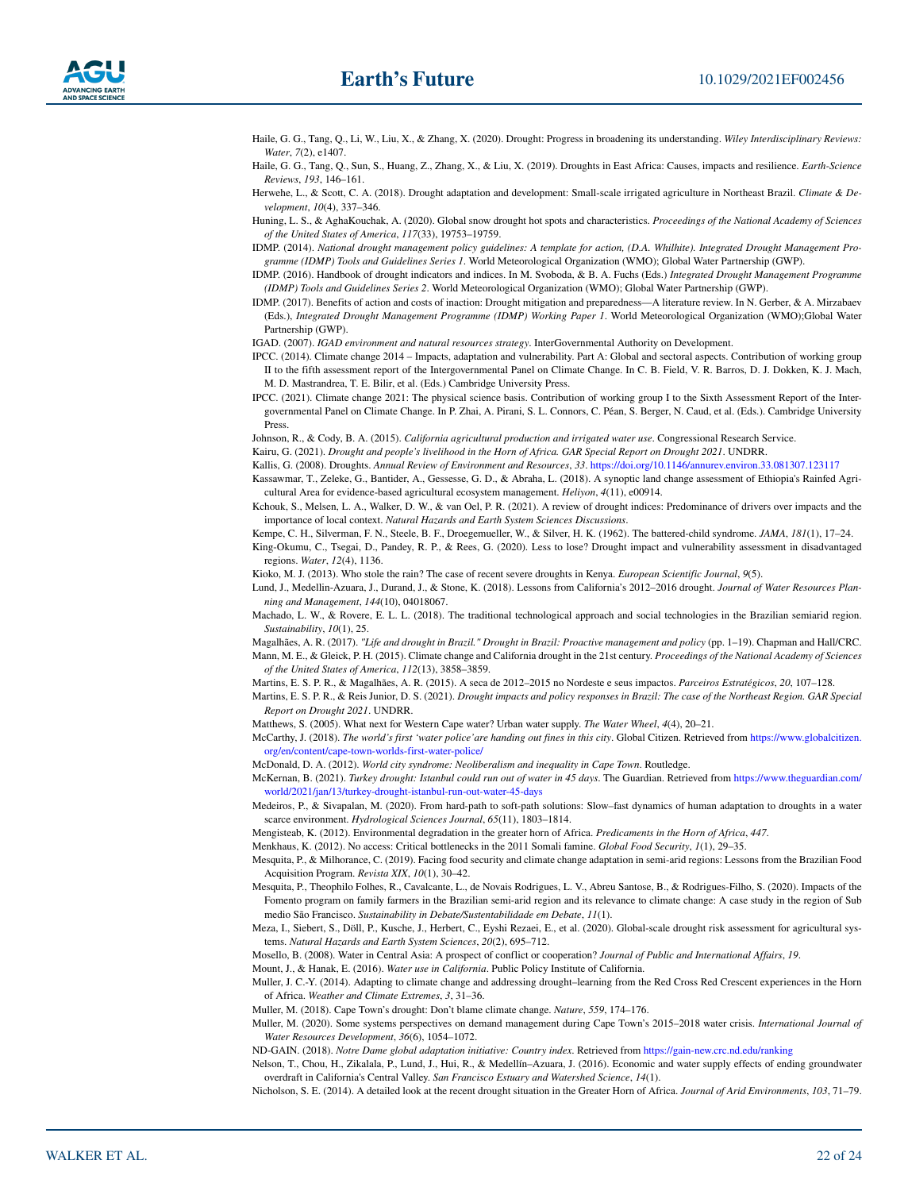- <span id="page-21-4"></span>Haile, G. G., Tang, Q., Li, W., Liu, X., & Zhang, X. (2020). Drought: Progress in broadening its understanding. *Wiley Interdisciplinary Reviews: Water*, *7*(2), e1407.
- <span id="page-21-36"></span>Haile, G. G., Tang, Q., Sun, S., Huang, Z., Zhang, X., & Liu, X. (2019). Droughts in East Africa: Causes, impacts and resilience. *Earth-Science Reviews*, *193*, 146–161.
- <span id="page-21-27"></span>Herwehe, L., & Scott, C. A. (2018). Drought adaptation and development: Small-scale irrigated agriculture in Northeast Brazil. *Climate & Development*, *10*(4), 337–346.
- <span id="page-21-1"></span>Huning, L. S., & AghaKouchak, A. (2020). Global snow drought hot spots and characteristics. *Proceedings of the National Academy of Sciences of the United States of America*, *117*(33), 19753–19759.
- <span id="page-21-5"></span>IDMP. (2014). *National drought management policy guidelines: A template for action, (D.A. Whilhite). Integrated Drought Management Programme (IDMP) Tools and Guidelines Series 1*. World Meteorological Organization (WMO); Global Water Partnership (GWP).
- <span id="page-21-9"></span>IDMP. (2016). Handbook of drought indicators and indices. In M. Svoboda, & B. A. Fuchs (Eds.) *Integrated Drought Management Programme (IDMP) Tools and Guidelines Series 2*. World Meteorological Organization (WMO); Global Water Partnership (GWP).
- <span id="page-21-6"></span>IDMP. (2017). Benefits of action and costs of inaction: Drought mitigation and preparedness—A literature review. In N. Gerber, & A. Mirzabaev (Eds.), *Integrated Drought Management Programme (IDMP) Working Paper 1*. World Meteorological Organization (WMO);Global Water Partnership (GWP).

<span id="page-21-32"></span>IGAD. (2007). *IGAD environment and natural resources strategy*. InterGovernmental Authority on Development.

- <span id="page-21-2"></span>IPCC. (2014). Climate change 2014 – Impacts, adaptation and vulnerability. Part A: Global and sectoral aspects. Contribution of working group II to the fifth assessment report of the Intergovernmental Panel on Climate Change. In C. B. Field, V. R. Barros, D. J. Dokken, K. J. Mach, M. D. Mastrandrea, T. E. Bilir, et al. (Eds.) Cambridge University Press.
- <span id="page-21-0"></span>IPCC. (2021). Climate change 2021: The physical science basis. Contribution of working group I to the Sixth Assessment Report of the Intergovernmental Panel on Climate Change. In P. Zhai, A. Pirani, S. L. Connors, C. Péan, S. Berger, N. Caud, et al. (Eds.). Cambridge University Press.
- <span id="page-21-19"></span>Johnson, R., & Cody, B. A. (2015). *California agricultural production and irrigated water use*. Congressional Research Service.

<span id="page-21-37"></span>Kairu, G. (2021). *Drought and people's livelihood in the Horn of Africa. GAR Special Report on Drought 2021*. UNDRR.

- <span id="page-21-11"></span>Kallis, G. (2008). Droughts. *Annual Review of Environment and Resources*, *33*. <https://doi.org/10.1146/annurev.environ.33.081307.123117>
- <span id="page-21-35"></span>Kassawmar, T., Zeleke, G., Bantider, A., Gessesse, G. D., & Abraha, L. (2018). A synoptic land change assessment of Ethiopia's Rainfed Agricultural Area for evidence-based agricultural ecosystem management. *Heliyon*, *4*(11), e00914.
- <span id="page-21-12"></span>Kchouk, S., Melsen, L. A., Walker, D. W., & van Oel, P. R. (2021). A review of drought indices: Predominance of drivers over impacts and the importance of local context. *Natural Hazards and Earth System Sciences Discussions*.

<span id="page-21-10"></span><span id="page-21-8"></span>Kempe, C. H., Silverman, F. N., Steele, B. F., Droegemueller, W., & Silver, H. K. (1962). The battered-child syndrome. *JAMA*, *181*(1), 17–24. King-Okumu, C., Tsegai, D., Pandey, R. P., & Rees, G. (2020). Less to lose? Drought impact and vulnerability assessment in disadvantaged regions. *Water*, *12*(4), 1136.

<span id="page-21-34"></span>Kioko, M. J. (2013). Who stole the rain? The case of recent severe droughts in Kenya. *European Scientific Journal*, *9*(5).

<span id="page-21-20"></span>Lund, J., Medellin-Azuara, J., Durand, J., & Stone, K. (2018). Lessons from California's 2012–2016 drought. *Journal of Water Resources Planning and Management*, *144*(10), 04018067.

- <span id="page-21-26"></span>Machado, L. W., & Rovere, E. L. L. (2018). The traditional technological approach and social technologies in the Brazilian semiarid region. *Sustainability*, *10*(1), 25.
- <span id="page-21-24"></span><span id="page-21-22"></span>Magalhães, A. R. (2017). *"Life and drought in Brazil." Drought in Brazil: Proactive management and policy* (pp. 1–19). Chapman and Hall/CRC. Mann, M. E., & Gleick, P. H. (2015). Climate change and California drought in the 21st century. *Proceedings of the National Academy of Sciences of the United States of America*, *112*(13), 3858–3859.
- <span id="page-21-25"></span>Martins, E. S. P. R., & Magalhães, A. R. (2015). A seca de 2012–2015 no Nordeste e seus impactos. *Parceiros Estratégicos*, *20*, 107–128.
- <span id="page-21-23"></span>Martins, E. S. P. R., & Reis Junior, D. S. (2021). *Drought impacts and policy responses in Brazil: The case of the Northeast Region. GAR Special Report on Drought 2021*. UNDRR.
- <span id="page-21-13"></span>Matthews, S. (2005). What next for Western Cape water? Urban water supply. *The Water Wheel*, *4*(4), 20–21.
- <span id="page-21-14"></span>McCarthy, J. (2018). *The world's first 'water police'are handing out fines in this city*. Global Citizen. Retrieved from [https://www.globalcitizen.](https://www.globalcitizen.org/en/content/cape-town-worlds-first-water-police/) [org/en/content/cape-town-worlds-first-water-police/](https://www.globalcitizen.org/en/content/cape-town-worlds-first-water-police/)
- <span id="page-21-17"></span>McDonald, D. A. (2012). *World city syndrome: Neoliberalism and inequality in Cape Town*. Routledge.
- <span id="page-21-40"></span>McKernan, B. (2021). *Turkey drought: Istanbul could run out of water in 45 days*. The Guardian. Retrieved from [https://www.theguardian.com/](https://www.theguardian.com/world/2021/jan/13/turkey-drought-istanbul-run-out-water-45-days) [world/2021/jan/13/turkey-drought-istanbul-run-out-water-45-days](https://www.theguardian.com/world/2021/jan/13/turkey-drought-istanbul-run-out-water-45-days)
- <span id="page-21-7"></span>Medeiros, P., & Sivapalan, M. (2020). From hard-path to soft-path solutions: Slow–fast dynamics of human adaptation to droughts in a water scarce environment. *Hydrological Sciences Journal*, *65*(11), 1803–1814.
- <span id="page-21-33"></span>Mengisteab, K. (2012). Environmental degradation in the greater horn of Africa. *Predicaments in the Horn of Africa*, *447*.
- <span id="page-21-38"></span>Menkhaus, K. (2012). No access: Critical bottlenecks in the 2011 Somali famine. *Global Food Security*, *1*(1), 29–35.
- <span id="page-21-28"></span>Mesquita, P., & Milhorance, C. (2019). Facing food security and climate change adaptation in semi-arid regions: Lessons from the Brazilian Food Acquisition Program. *Revista XIX*, *10*(1), 30–42.
- <span id="page-21-29"></span>Mesquita, P., Theophilo Folhes, R., Cavalcante, L., de Novais Rodrigues, L. V., Abreu Santose, B., & Rodrigues-Filho, S. (2020). Impacts of the Fomento program on family farmers in the Brazilian semi-arid region and its relevance to climate change: A case study in the region of Sub medio São Francisco. *Sustainability in Debate/Sustentabilidade em Debate*, *11*(1).
- <span id="page-21-3"></span>Meza, I., Siebert, S., Döll, P., Kusche, J., Herbert, C., Eyshi Rezaei, E., et al. (2020). Global-scale drought risk assessment for agricultural systems. *Natural Hazards and Earth System Sciences*, *20*(2), 695–712.
- <span id="page-21-41"></span>Mosello, B. (2008). Water in Central Asia: A prospect of conflict or cooperation? *Journal of Public and International Affairs*, *19*.
- <span id="page-21-18"></span>Mount, J., & Hanak, E. (2016). *Water use in California*. Public Policy Institute of California.
- <span id="page-21-39"></span>Muller, J. C.-Y. (2014). Adapting to climate change and addressing drought–learning from the Red Cross Red Crescent experiences in the Horn of Africa. *Weather and Climate Extremes*, *3*, 31–36.
- <span id="page-21-15"></span>Muller, M. (2018). Cape Town's drought: Don't blame climate change. *Nature*, *559*, 174–176.
- <span id="page-21-16"></span>Muller, M. (2020). Some systems perspectives on demand management during Cape Town's 2015–2018 water crisis. *International Journal of Water Resources Development*, *36*(6), 1054–1072.
- <span id="page-21-30"></span>ND-GAIN. (2018). *Notre Dame global adaptation initiative: Country index*. Retrieved from <https://gain-new.crc.nd.edu/ranking>
- <span id="page-21-21"></span>Nelson, T., Chou, H., Zikalala, P., Lund, J., Hui, R., & Medellín–Azuara, J. (2016). Economic and water supply effects of ending groundwater overdraft in California's Central Valley. *San Francisco Estuary and Watershed Science*, *14*(1).
- <span id="page-21-31"></span>Nicholson, S. E. (2014). A detailed look at the recent drought situation in the Greater Horn of Africa. *Journal of Arid Environments*, *103*, 71–79.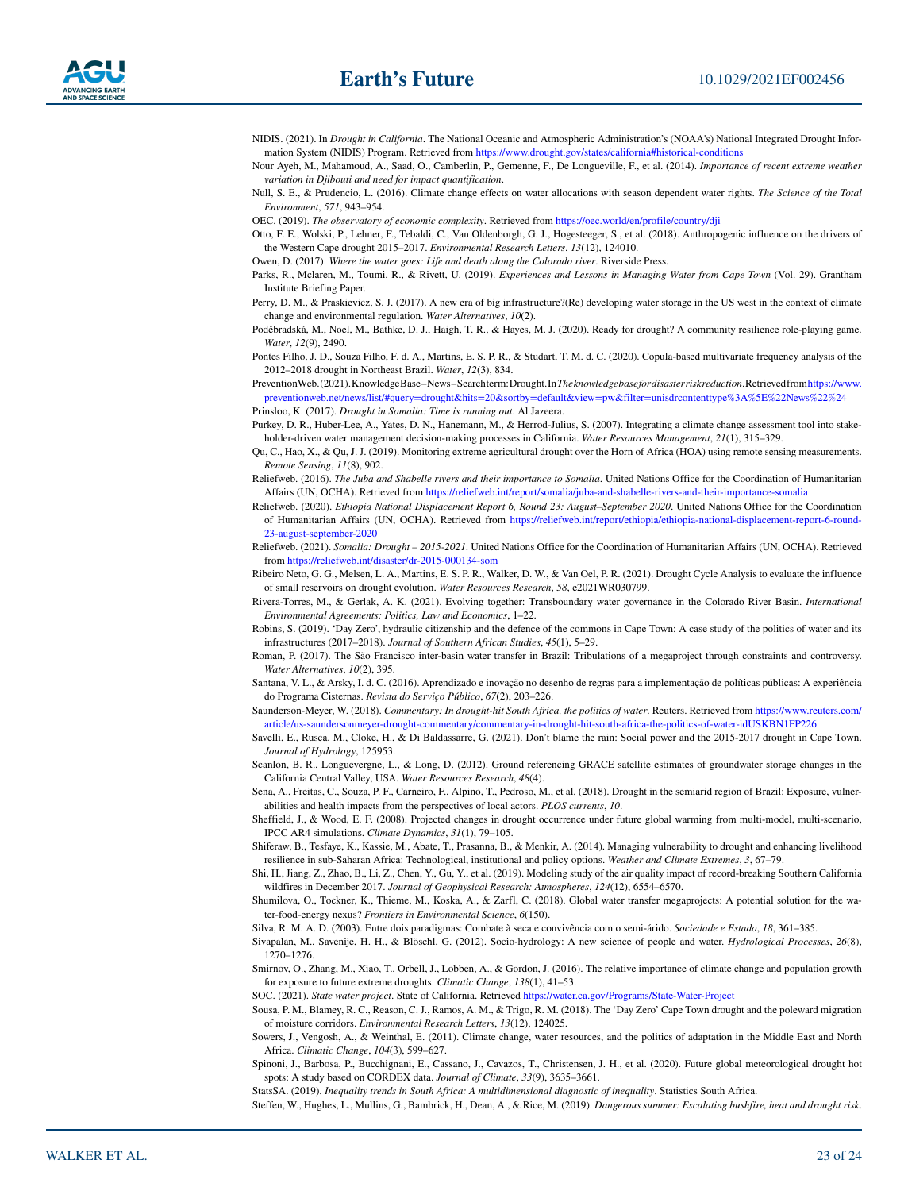<span id="page-22-13"></span>NIDIS. (2021). In *Drought in California*. The National Oceanic and Atmospheric Administration's (NOAA's) National Integrated Drought Information System (NIDIS) Program. Retrieved from [https://www.drought.gov/states/california#historical-conditions](https://www.drought.gov/states/california)

<span id="page-22-32"></span>Nour Ayeh, M., Mahamoud, A., Saad, O., Camberlin, P., Gemenne, F., De Longueville, F., et al. (2014). *Importance of recent extreme weather variation in Djibouti and need for impact quantification*.

<span id="page-22-16"></span>Null, S. E., & Prudencio, L. (2016). Climate change effects on water allocations with season dependent water rights. *The Science of the Total Environment*, *571*, 943–954.

<span id="page-22-29"></span>OEC. (2019). *The observatory of economic complexity*. Retrieved from <https://oec.world/en/profile/country/dji>

<span id="page-22-7"></span>Otto, F. E., Wolski, P., Lehner, F., Tebaldi, C., Van Oldenborgh, G. J., Hogesteeger, S., et al. (2018). Anthropogenic influence on the drivers of the Western Cape drought 2015–2017. *Environmental Research Letters*, *13*(12), 124010.

<span id="page-22-17"></span>Owen, D. (2017). *Where the water goes: Life and death along the Colorado river*. Riverside Press.

<span id="page-22-5"></span>Parks, R., Mclaren, M., Toumi, R., & Rivett, U. (2019). *Experiences and Lessons in Managing Water from Cape Town* (Vol. 29). Grantham Institute Briefing Paper.

<span id="page-22-19"></span>Perry, D. M., & Praskievicz, S. J. (2017). A new era of big infrastructure?(Re) developing water storage in the US west in the context of climate change and environmental regulation. *Water Alternatives*, *10*(2).

<span id="page-22-3"></span>Poděbradská, M., Noel, M., Bathke, D. J., Haigh, T. R., & Hayes, M. J. (2020). Ready for drought? A community resilience role-playing game. *Water*, *12*(9), 2490.

<span id="page-22-20"></span>Pontes Filho, J. D., Souza Filho, F. d. A., Martins, E. S. P. R., & Studart, T. M. d. C. (2020). Copula-based multivariate frequency analysis of the 2012–2018 drought in Northeast Brazil. *Water*, *12*(3), 834.

<span id="page-22-37"></span>PreventionWeb. (2021). Knowledge Base – News – Search term: Drought. In *The knowledge base for disaster risk reduction*. Retrieved from [https://www.](https://www.preventionweb.net/news/list/) [preventionweb.net/news/list/#query=drought&hits=20&sortby=default&view=pw&filter=unisdrcontenttype%3A%5E%22News%22%24](https://www.preventionweb.net/news/list/) Prinsloo, K. (2017). *Drought in Somalia: Time is running out*. Al Jazeera.

<span id="page-22-27"></span><span id="page-22-11"></span>Purkey, D. R., Huber-Lee, A., Yates, D. N., Hanemann, M., & Herrod-Julius, S. (2007). Integrating a climate change assessment tool into stakeholder-driven water management decision-making processes in California. *Water Resources Management*, *21*(1), 315–329.

<span id="page-22-28"></span>Qu, C., Hao, X., & Qu, J. J. (2019). Monitoring extreme agricultural drought over the Horn of Africa (HOA) using remote sensing measurements. *Remote Sensing*, *11*(8), 902.

<span id="page-22-33"></span>Reliefweb. (2016). *The Juba and Shabelle rivers and their importance to Somalia*. United Nations Office for the Coordination of Humanitarian Affairs (UN, OCHA). Retrieved from <https://reliefweb.int/report/somalia/juba-and-shabelle-rivers-and-their-importance-somalia>

<span id="page-22-31"></span>Reliefweb. (2020). *Ethiopia National Displacement Report 6, Round 23: August–September 2020*. United Nations Office for the Coordination of Humanitarian Affairs (UN, OCHA). Retrieved from [https://reliefweb.int/report/ethiopia/ethiopia-national-displacement-report-6-round-](https://reliefweb.int/report/ethiopia/ethiopia-national-displacement-report-6-round-23-august-september-2020)[23-august-september-2020](https://reliefweb.int/report/ethiopia/ethiopia-national-displacement-report-6-round-23-august-september-2020)

<span id="page-22-26"></span>Reliefweb. (2021). *Somalia: Drought – 2015-2021*. United Nations Office for the Coordination of Humanitarian Affairs (UN, OCHA). Retrieved from<https://reliefweb.int/disaster/dr-2015-000134-som>

<span id="page-22-22"></span>Ribeiro Neto, G. G., Melsen, L. A., Martins, E. S. P. R., Walker, D. W., & Van Oel, P. R. (2021). Drought Cycle Analysis to evaluate the influence of small reservoirs on drought evolution. *Water Resources Research*, *58*, e2021WR030799.

<span id="page-22-18"></span>Rivera-Torres, M., & Gerlak, A. K. (2021). Evolving together: Transboundary water governance in the Colorado River Basin. *International Environmental Agreements: Politics, Law and Economics*, 1–22.

<span id="page-22-6"></span>Robins, S. (2019). 'Day Zero', hydraulic citizenship and the defence of the commons in Cape Town: A case study of the politics of water and its infrastructures (2017–2018). *Journal of Southern African Studies*, *45*(1), 5–29.

<span id="page-22-25"></span>Roman, P. (2017). The São Francisco inter-basin water transfer in Brazil: Tribulations of a megaproject through constraints and controversy. *Water Alternatives*, *10*(2), 395.

<span id="page-22-24"></span>Santana, V. L., & Arsky, I. d. C. (2016). Aprendizado e inovação no desenho de regras para a implementação de políticas públicas: A experiência do Programa Cisternas. *Revista do Serviço Público*, *67*(2), 203–226.

<span id="page-22-8"></span>Saunderson-Meyer, W. (2018). *Commentary: In drought-hit South Africa, the politics of water*. Reuters. Retrieved from [https://www.reuters.com/](https://www.reuters.com/article/us-saundersonmeyer-drought-commentary/commentary-in-drought-hit-south-africa-the-politics-of-water-idUSKBN1FP226) [article/us-saundersonmeyer-drought-commentary/commentary-in-drought-hit-south-africa-the-politics-of-water-idUSKBN1FP226](https://www.reuters.com/article/us-saundersonmeyer-drought-commentary/commentary-in-drought-hit-south-africa-the-politics-of-water-idUSKBN1FP226)

<span id="page-22-9"></span>Savelli, E., Rusca, M., Cloke, H., & Di Baldassarre, G. (2021). Don't blame the rain: Social power and the 2015-2017 drought in Cape Town. *Journal of Hydrology*, 125953.

<span id="page-22-14"></span>Scanlon, B. R., Longuevergne, L., & Long, D. (2012). Ground referencing GRACE satellite estimates of groundwater storage changes in the California Central Valley, USA. *Water Resources Research*, *48*(4).

<span id="page-22-23"></span>Sena, A., Freitas, C., Souza, P. F., Carneiro, F., Alpino, T., Pedroso, M., et al. (2018). Drought in the semiarid region of Brazil: Exposure, vulnerabilities and health impacts from the perspectives of local actors. *PLOS currents*, *10*.

<span id="page-22-2"></span>Sheffield, J., & Wood, E. F. (2008). Projected changes in drought occurrence under future global warming from multi-model, multi-scenario, IPCC AR4 simulations. *Climate Dynamics*, *31*(1), 79–105.

<span id="page-22-30"></span>Shiferaw, B., Tesfaye, K., Kassie, M., Abate, T., Prasanna, B., & Menkir, A. (2014). Managing vulnerability to drought and enhancing livelihood resilience in sub-Saharan Africa: Technological, institutional and policy options. *Weather and Climate Extremes*, *3*, 67–79.

<span id="page-22-15"></span>Shi, H., Jiang, Z., Zhao, B., Li, Z., Chen, Y., Gu, Y., et al. (2019). Modeling study of the air quality impact of record-breaking Southern California wildfires in December 2017. *Journal of Geophysical Research: Atmospheres*, *124*(12), 6554–6570.

<span id="page-22-35"></span>Shumilova, O., Tockner, K., Thieme, M., Koska, A., & Zarfl, C. (2018). Global water transfer megaprojects: A potential solution for the water-food-energy nexus? *Frontiers in Environmental Science*, *6*(150).

<span id="page-22-21"></span>Silva, R. M. A. D. (2003). Entre dois paradigmas: Combate à seca e convivência com o semi-árido. *Sociedade e Estado*, *18*, 361–385.

<span id="page-22-38"></span>Sivapalan, M., Savenije, H. H., & Blöschl, G. (2012). Socio-hydrology: A new science of people and water. *Hydrological Processes*, *26*(8), 1270–1276.

<span id="page-22-0"></span>Smirnov, O., Zhang, M., Xiao, T., Orbell, J., Lobben, A., & Gordon, J. (2016). The relative importance of climate change and population growth for exposure to future extreme droughts. *Climatic Change*, *138*(1), 41–53.

<span id="page-22-12"></span>SOC. (2021). *State water project*. State of California. Retrieved<https://water.ca.gov/Programs/State-Water-Project>

<span id="page-22-4"></span>Sousa, P. M., Blamey, R. C., Reason, C. J., Ramos, A. M., & Trigo, R. M. (2018). The 'Day Zero' Cape Town drought and the poleward migration of moisture corridors. *Environmental Research Letters*, *13*(12), 124025.

<span id="page-22-36"></span>Sowers, J., Vengosh, A., & Weinthal, E. (2011). Climate change, water resources, and the politics of adaptation in the Middle East and North Africa. *Climatic Change*, *104*(3), 599–627.

<span id="page-22-1"></span>Spinoni, J., Barbosa, P., Bucchignani, E., Cassano, J., Cavazos, T., Christensen, J. H., et al. (2020). Future global meteorological drought hot spots: A study based on CORDEX data. *Journal of Climate*, *33*(9), 3635–3661.

<span id="page-22-10"></span>StatsSA. (2019). *Inequality trends in South Africa: A multidimensional diagnostic of inequality*. Statistics South Africa.

<span id="page-22-34"></span>Steffen, W., Hughes, L., Mullins, G., Bambrick, H., Dean, A., & Rice, M. (2019). *Dangerous summer: Escalating bushfire, heat and drought risk*.